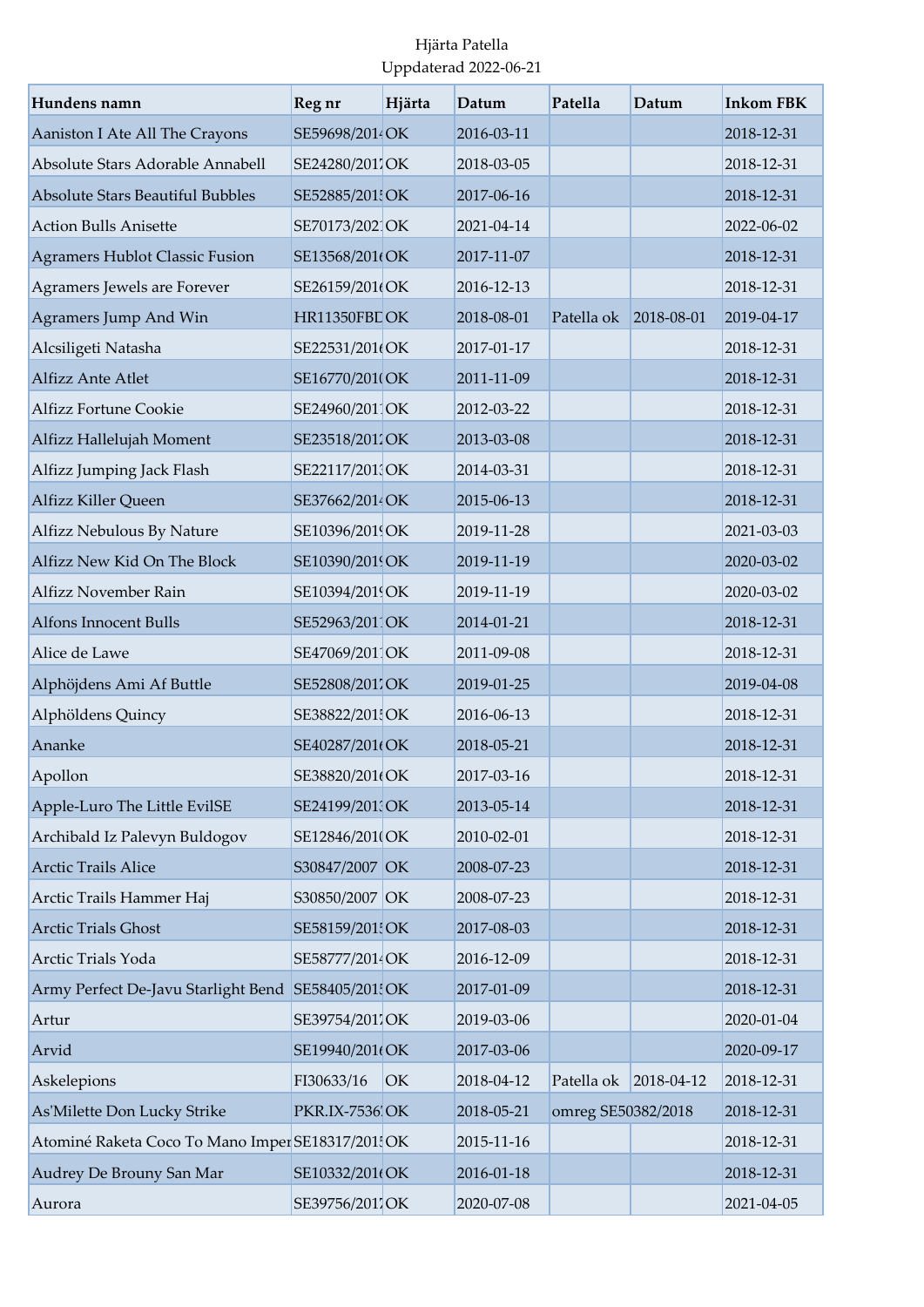| Hundens namn                                       | Reg nr          | Hjärta | Datum      | Patella               | Datum            | <b>Inkom FBK</b> |
|----------------------------------------------------|-----------------|--------|------------|-----------------------|------------------|------------------|
| Aaniston I Ate All The Crayons                     | SE59698/2014OK  |        | 2016-03-11 |                       |                  | 2018-12-31       |
| Absolute Stars Adorable Annabell                   | SE24280/2011OK  |        | 2018-03-05 |                       |                  | 2018-12-31       |
| <b>Absolute Stars Beautiful Bubbles</b>            | SE52885/201 OK  |        | 2017-06-16 |                       |                  | 2018-12-31       |
| <b>Action Bulls Anisette</b>                       | SE70173/2021OK  |        | 2021-04-14 |                       |                  | 2022-06-02       |
| <b>Agramers Hublot Classic Fusion</b>              | SE13568/201(OK  |        | 2017-11-07 |                       |                  | 2018-12-31       |
| Agramers Jewels are Forever                        | SE26159/201(OK  |        | 2016-12-13 |                       |                  | 2018-12-31       |
| Agramers Jump And Win                              | HR11350FBLOK    |        | 2018-08-01 | Patella ok 2018-08-01 |                  | 2019-04-17       |
| Alcsiligeti Natasha                                | SE22531/201(OK  |        | 2017-01-17 |                       |                  | 2018-12-31       |
| Alfizz Ante Atlet                                  | SE16770/201(OK  |        | 2011-11-09 |                       |                  | 2018-12-31       |
| <b>Alfizz Fortune Cookie</b>                       | SE24960/201 OK  |        | 2012-03-22 |                       |                  | 2018-12-31       |
| Alfizz Hallelujah Moment                           | SE23518/2011OK  |        | 2013-03-08 |                       |                  | 2018-12-31       |
| Alfizz Jumping Jack Flash                          | SE22117/201 OK  |        | 2014-03-31 |                       |                  | 2018-12-31       |
| Alfizz Killer Queen                                | SE37662/2014 OK |        | 2015-06-13 |                       |                  | 2018-12-31       |
| Alfizz Nebulous By Nature                          | SE10396/2019OK  |        | 2019-11-28 |                       |                  | 2021-03-03       |
| Alfizz New Kid On The Block                        | SE10390/2019OK  |        | 2019-11-19 |                       |                  | 2020-03-02       |
| Alfizz November Rain                               | SE10394/2019OK  |        | 2019-11-19 |                       |                  | 2020-03-02       |
| <b>Alfons Innocent Bulls</b>                       | SE52963/2011OK  |        | 2014-01-21 |                       |                  | 2018-12-31       |
| Alice de Lawe                                      | SE47069/2011OK  |        | 2011-09-08 |                       |                  | 2018-12-31       |
| Alphöjdens Ami Af Buttle                           | SE52808/201'OK  |        | 2019-01-25 |                       |                  | 2019-04-08       |
| Alphöldens Quincy                                  | SE38822/201 OK  |        | 2016-06-13 |                       |                  | 2018-12-31       |
| Ananke                                             | SE40287/201(OK  |        | 2018-05-21 |                       |                  | 2018-12-31       |
| Apollon                                            | SE38820/201(OK  |        | 2017-03-16 |                       |                  | 2018-12-31       |
| Apple-Luro The Little EvilSE                       | SE24199/201 OK  |        | 2013-05-14 |                       |                  | 2018-12-31       |
| Archibald Iz Palevyn Buldogov                      | SE12846/201(OK  |        | 2010-02-01 |                       |                  | 2018-12-31       |
| <b>Arctic Trails Alice</b>                         | S30847/2007 OK  |        | 2008-07-23 |                       |                  | 2018-12-31       |
| Arctic Trails Hammer Haj                           | S30850/2007 OK  |        | 2008-07-23 |                       |                  | 2018-12-31       |
| <b>Arctic Trials Ghost</b>                         | SE58159/201 OK  |        | 2017-08-03 |                       |                  | 2018-12-31       |
| Arctic Trials Yoda                                 | SE58777/2014 OK |        | 2016-12-09 |                       |                  | 2018-12-31       |
| Army Perfect De-Javu Starlight Bend SE58405/201 OK |                 |        | 2017-01-09 |                       |                  | 2018-12-31       |
| Artur                                              | SE39754/2011OK  |        | 2019-03-06 |                       |                  | 2020-01-04       |
| Arvid                                              | SE19940/201(OK  |        | 2017-03-06 |                       |                  | 2020-09-17       |
| Askelepions                                        | FI30633/16      | OK     | 2018-04-12 | Patella ok            | $2018 - 04 - 12$ | 2018-12-31       |
| As'Milette Don Lucky Strike                        | PKR.IX-7536 OK  |        | 2018-05-21 | omreg SE50382/2018    |                  | 2018-12-31       |
| Atominé Raketa Coco To Mano Imper SE18317/201 OK   |                 |        | 2015-11-16 |                       |                  | 2018-12-31       |
| Audrey De Brouny San Mar                           | SE10332/201(OK  |        | 2016-01-18 |                       |                  | 2018-12-31       |
| Aurora                                             | SE39756/2017OK  |        | 2020-07-08 |                       |                  | 2021-04-05       |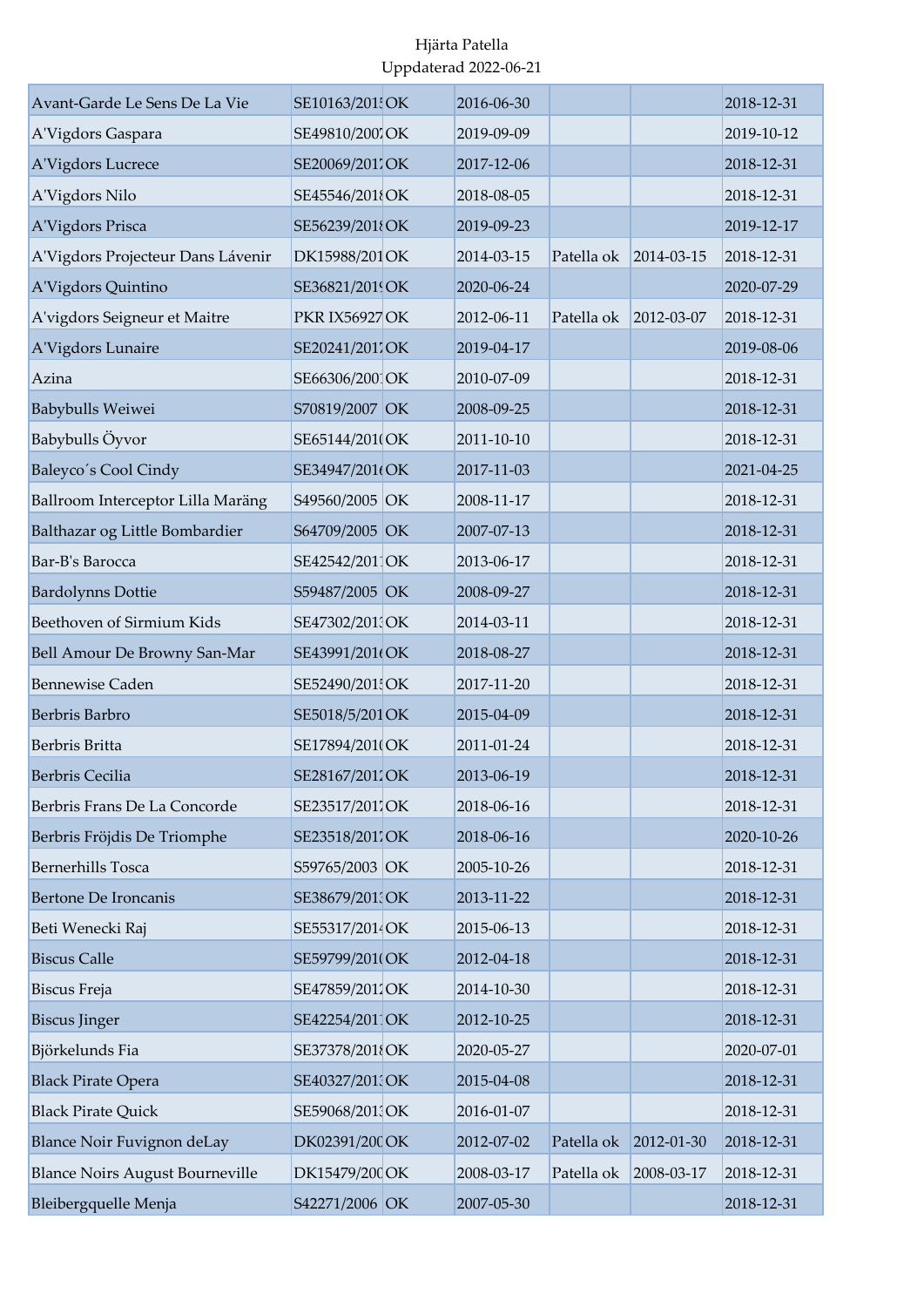| Avant-Garde Le Sens De La Vie          | SE10163/201 OK        | 2016-06-30 |            |            | 2018-12-31 |
|----------------------------------------|-----------------------|------------|------------|------------|------------|
| A'Vigdors Gaspara                      | SE49810/2007 OK       | 2019-09-09 |            |            | 2019-10-12 |
| A'Vigdors Lucrece                      | SE20069/201'OK        | 2017-12-06 |            |            | 2018-12-31 |
| A'Vigdors Nilo                         | SE45546/2018OK        | 2018-08-05 |            |            | 2018-12-31 |
| A'Vigdors Prisca                       | SE56239/2018OK        | 2019-09-23 |            |            | 2019-12-17 |
| A'Vigdors Projecteur Dans Lávenir      | DK15988/201 OK        | 2014-03-15 | Patella ok | 2014-03-15 | 2018-12-31 |
| A'Vigdors Quintino                     | SE36821/2019OK        | 2020-06-24 |            |            | 2020-07-29 |
| A'vigdors Seigneur et Maitre           | <b>PKR IX56927 OK</b> | 2012-06-11 | Patella ok | 2012-03-07 | 2018-12-31 |
| A'Vigdors Lunaire                      | SE20241/2011OK        | 2019-04-17 |            |            | 2019-08-06 |
| Azina                                  | SE66306/200 OK        | 2010-07-09 |            |            | 2018-12-31 |
| Babybulls Weiwei                       | S70819/2007 OK        | 2008-09-25 |            |            | 2018-12-31 |
| Babybulls Öyvor                        | SE65144/201(OK        | 2011-10-10 |            |            | 2018-12-31 |
| Baleyco's Cool Cindy                   | SE34947/201(OK        | 2017-11-03 |            |            | 2021-04-25 |
| Ballroom Interceptor Lilla Maräng      | S49560/2005 OK        | 2008-11-17 |            |            | 2018-12-31 |
| Balthazar og Little Bombardier         | S64709/2005 OK        | 2007-07-13 |            |            | 2018-12-31 |
| Bar-B's Barocca                        | SE42542/2011OK        | 2013-06-17 |            |            | 2018-12-31 |
| <b>Bardolynns Dottie</b>               | S59487/2005 OK        | 2008-09-27 |            |            | 2018-12-31 |
| Beethoven of Sirmium Kids              | SE47302/201 OK        | 2014-03-11 |            |            | 2018-12-31 |
| Bell Amour De Browny San-Mar           | SE43991/201(OK        | 2018-08-27 |            |            | 2018-12-31 |
| <b>Bennewise Caden</b>                 | SE52490/201 OK        | 2017-11-20 |            |            | 2018-12-31 |
| Berbris Barbro                         | SE5018/5/201 OK       | 2015-04-09 |            |            | 2018-12-31 |
| Berbris Britta                         | SE17894/201(OK        | 2011-01-24 |            |            | 2018-12-31 |
| Berbris Cecilia                        | SE28167/2011OK        | 2013-06-19 |            |            | 2018-12-31 |
| Berbris Frans De La Concorde           | SE23517/2017OK        | 2018-06-16 |            |            | 2018-12-31 |
| Berbris Fröjdis De Triomphe            | SE23518/2017OK        | 2018-06-16 |            |            | 2020-10-26 |
| <b>Bernerhills Tosca</b>               | S59765/2003 OK        | 2005-10-26 |            |            | 2018-12-31 |
| <b>Bertone De Ironcanis</b>            | SE38679/201 OK        | 2013-11-22 |            |            | 2018-12-31 |
| Beti Wenecki Raj                       | SE55317/2014 OK       | 2015-06-13 |            |            | 2018-12-31 |
| <b>Biscus Calle</b>                    | SE59799/201(OK        | 2012-04-18 |            |            | 2018-12-31 |
| Biscus Freja                           | SE47859/2011OK        | 2014-10-30 |            |            | 2018-12-31 |
| <b>Biscus Jinger</b>                   | SE42254/2011OK        | 2012-10-25 |            |            | 2018-12-31 |
| Björkelunds Fia                        | SE37378/2018OK        | 2020-05-27 |            |            | 2020-07-01 |
| <b>Black Pirate Opera</b>              | SE40327/201 OK        | 2015-04-08 |            |            | 2018-12-31 |
| <b>Black Pirate Quick</b>              | SE59068/2013OK        | 2016-01-07 |            |            | 2018-12-31 |
| Blance Noir Fuvignon deLay             | DK02391/200 OK        | 2012-07-02 | Patella ok | 2012-01-30 | 2018-12-31 |
| <b>Blance Noirs August Bourneville</b> | DK15479/200 OK        | 2008-03-17 | Patella ok | 2008-03-17 | 2018-12-31 |
| Bleibergquelle Menja                   | S42271/2006 OK        | 2007-05-30 |            |            | 2018-12-31 |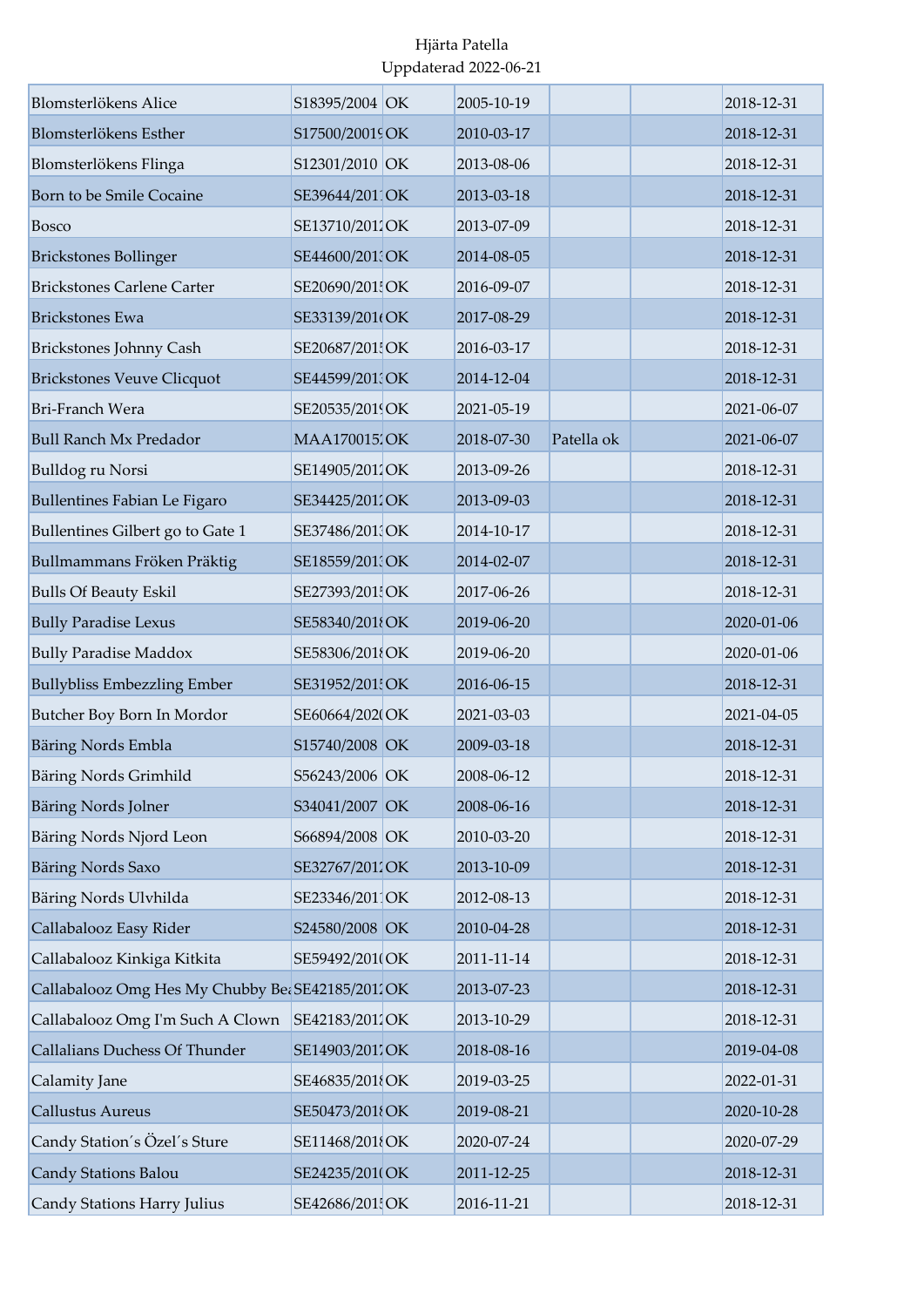| Blomsterlökens Alice                            | S18395/2004 OK      | 2005-10-19 |            | 2018-12-31 |
|-------------------------------------------------|---------------------|------------|------------|------------|
| Blomsterlökens Esther                           | S17500/20019 OK     | 2010-03-17 |            | 2018-12-31 |
| Blomsterlökens Flinga                           | S12301/2010 OK      | 2013-08-06 |            | 2018-12-31 |
| Born to be Smile Cocaine                        | SE39644/2011OK      | 2013-03-18 |            | 2018-12-31 |
| <b>Bosco</b>                                    | SE13710/2011OK      | 2013-07-09 |            | 2018-12-31 |
| <b>Brickstones Bollinger</b>                    | SE44600/201 OK      | 2014-08-05 |            | 2018-12-31 |
| <b>Brickstones Carlene Carter</b>               | SE20690/201 OK      | 2016-09-07 |            | 2018-12-31 |
| <b>Brickstones Ewa</b>                          | SE33139/201(OK      | 2017-08-29 |            | 2018-12-31 |
| <b>Brickstones Johnny Cash</b>                  | SE20687/201 OK      | 2016-03-17 |            | 2018-12-31 |
| <b>Brickstones Veuve Clicquot</b>               | SE44599/201 OK      | 2014-12-04 |            | 2018-12-31 |
| <b>Bri-Franch Wera</b>                          | SE20535/2019OK      | 2021-05-19 |            | 2021-06-07 |
| <b>Bull Ranch Mx Predador</b>                   | <b>MAA170015/OK</b> | 2018-07-30 | Patella ok | 2021-06-07 |
| Bulldog ru Norsi                                | SE14905/2012OK      | 2013-09-26 |            | 2018-12-31 |
| <b>Bullentines Fabian Le Figaro</b>             | SE34425/2012OK      | 2013-09-03 |            | 2018-12-31 |
| Bullentines Gilbert go to Gate 1                | SE37486/2013OK      | 2014-10-17 |            | 2018-12-31 |
| Bullmammans Fröken Präktig                      | SE18559/201 OK      | 2014-02-07 |            | 2018-12-31 |
| <b>Bulls Of Beauty Eskil</b>                    | SE27393/201 OK      | 2017-06-26 |            | 2018-12-31 |
| <b>Bully Paradise Lexus</b>                     | SE58340/2018OK      | 2019-06-20 |            | 2020-01-06 |
| <b>Bully Paradise Maddox</b>                    | SE58306/2018OK      | 2019-06-20 |            | 2020-01-06 |
| <b>Bullybliss Embezzling Ember</b>              | SE31952/201 OK      | 2016-06-15 |            | 2018-12-31 |
| Butcher Boy Born In Mordor                      | SE60664/2020OK      | 2021-03-03 |            | 2021-04-05 |
| Bäring Nords Embla                              | S15740/2008 OK      | 2009-03-18 |            | 2018-12-31 |
| Bäring Nords Grimhild                           | S56243/2006 OK      | 2008-06-12 |            | 2018-12-31 |
| Bäring Nords Jolner                             | S34041/2007 OK      | 2008-06-16 |            | 2018-12-31 |
| Bäring Nords Njord Leon                         | S66894/2008 OK      | 2010-03-20 |            | 2018-12-31 |
| <b>Bäring Nords Saxo</b>                        | SE32767/2011OK      | 2013-10-09 |            | 2018-12-31 |
| Bäring Nords Ulvhilda                           | SE23346/2011OK      | 2012-08-13 |            | 2018-12-31 |
| Callabalooz Easy Rider                          | S24580/2008 OK      | 2010-04-28 |            | 2018-12-31 |
| Callabalooz Kinkiga Kitkita                     | SE59492/201(OK      | 2011-11-14 |            | 2018-12-31 |
| Callabalooz Omg Hes My Chubby Be SE42185/2012OK |                     | 2013-07-23 |            | 2018-12-31 |
| Callabalooz Omg I'm Such A Clown                | SE42183/2012OK      | 2013-10-29 |            | 2018-12-31 |
| Callalians Duchess Of Thunder                   | SE14903/2017OK      | 2018-08-16 |            | 2019-04-08 |
| Calamity Jane                                   | SE46835/2018OK      | 2019-03-25 |            | 2022-01-31 |
| <b>Callustus Aureus</b>                         | SE50473/2018OK      | 2019-08-21 |            | 2020-10-28 |
| Candy Station's Özel's Sture                    | SE11468/2018OK      | 2020-07-24 |            | 2020-07-29 |
| Candy Stations Balou                            | SE24235/201(OK      | 2011-12-25 |            | 2018-12-31 |
| Candy Stations Harry Julius                     | SE42686/201 OK      | 2016-11-21 |            | 2018-12-31 |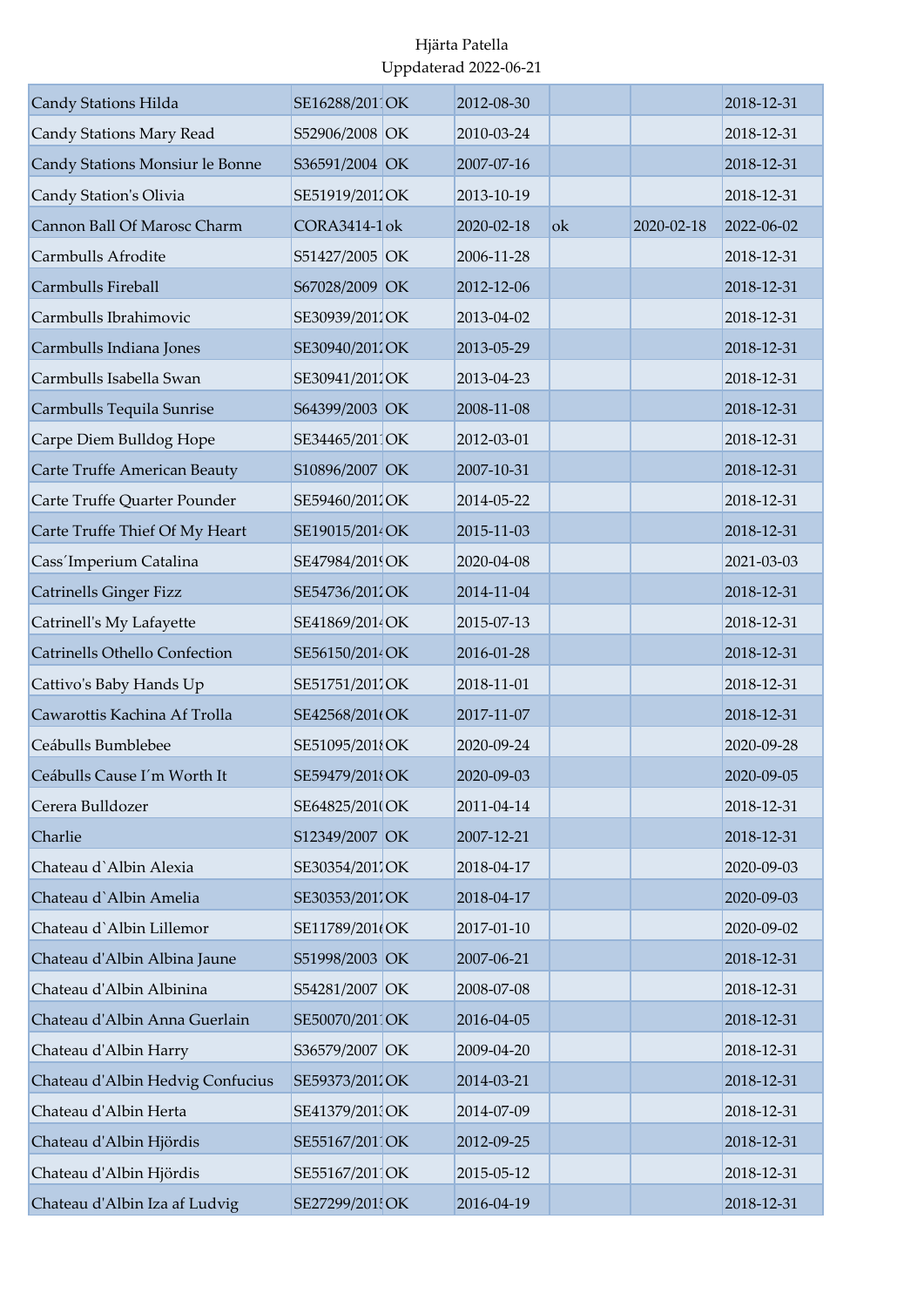| Candy Stations Hilda                 | SE16288/2011OK  | 2012-08-30 |    |            | 2018-12-31 |
|--------------------------------------|-----------------|------------|----|------------|------------|
| Candy Stations Mary Read             | S52906/2008 OK  | 2010-03-24 |    |            | 2018-12-31 |
| Candy Stations Monsiur le Bonne      | S36591/2004 OK  | 2007-07-16 |    |            | 2018-12-31 |
| Candy Station's Olivia               | SE51919/2011OK  | 2013-10-19 |    |            | 2018-12-31 |
| Cannon Ball Of Marosc Charm          | CORA3414-1 ok   | 2020-02-18 | ok | 2020-02-18 | 2022-06-02 |
| Carmbulls Afrodite                   | S51427/2005 OK  | 2006-11-28 |    |            | 2018-12-31 |
| Carmbulls Fireball                   | S67028/2009 OK  | 2012-12-06 |    |            | 2018-12-31 |
| Carmbulls Ibrahimovic                | SE30939/2011OK  | 2013-04-02 |    |            | 2018-12-31 |
| Carmbulls Indiana Jones              | SE30940/2012OK  | 2013-05-29 |    |            | 2018-12-31 |
| Carmbulls Isabella Swan              | SE30941/2011OK  | 2013-04-23 |    |            | 2018-12-31 |
| Carmbulls Tequila Sunrise            | S64399/2003 OK  | 2008-11-08 |    |            | 2018-12-31 |
| Carpe Diem Bulldog Hope              | SE34465/201 OK  | 2012-03-01 |    |            | 2018-12-31 |
| Carte Truffe American Beauty         | S10896/2007 OK  | 2007-10-31 |    |            | 2018-12-31 |
| Carte Truffe Quarter Pounder         | SE59460/2011OK  | 2014-05-22 |    |            | 2018-12-31 |
| Carte Truffe Thief Of My Heart       | SE19015/2014 OK | 2015-11-03 |    |            | 2018-12-31 |
| Cass'Imperium Catalina               | SE47984/2019OK  | 2020-04-08 |    |            | 2021-03-03 |
| <b>Catrinells Ginger Fizz</b>        | SE54736/2011OK  | 2014-11-04 |    |            | 2018-12-31 |
| Catrinell's My Lafayette             | SE41869/2014 OK | 2015-07-13 |    |            | 2018-12-31 |
| <b>Catrinells Othello Confection</b> | SE56150/2014OK  | 2016-01-28 |    |            | 2018-12-31 |
| Cattivo's Baby Hands Up              | SE51751/2017OK  | 2018-11-01 |    |            | 2018-12-31 |
| Cawarottis Kachina Af Trolla         | SE42568/201(OK  | 2017-11-07 |    |            | 2018-12-31 |
| Ceábulls Bumblebee                   | SE51095/201{OK  | 2020-09-24 |    |            | 2020-09-28 |
| Ceábulls Cause I'm Worth It          | SE59479/2018OK  | 2020-09-03 |    |            | 2020-09-05 |
| Cerera Bulldozer                     | SE64825/2010 OK | 2011-04-14 |    |            | 2018-12-31 |
| Charlie                              | S12349/2007 OK  | 2007-12-21 |    |            | 2018-12-31 |
| Chateau d'Albin Alexia               | SE30354/2017OK  | 2018-04-17 |    |            | 2020-09-03 |
| Chateau d'Albin Amelia               | SE30353/2011OK  | 2018-04-17 |    |            | 2020-09-03 |
| Chateau d'Albin Lillemor             | SE11789/201(OK  | 2017-01-10 |    |            | 2020-09-02 |
| Chateau d'Albin Albina Jaune         | S51998/2003 OK  | 2007-06-21 |    |            | 2018-12-31 |
| Chateau d'Albin Albinina             | S54281/2007 OK  | 2008-07-08 |    |            | 2018-12-31 |
| Chateau d'Albin Anna Guerlain        | SE50070/2011OK  | 2016-04-05 |    |            | 2018-12-31 |
| Chateau d'Albin Harry                | S36579/2007 OK  | 2009-04-20 |    |            | 2018-12-31 |
| Chateau d'Albin Hedvig Confucius     | SE59373/2012OK  | 2014-03-21 |    |            | 2018-12-31 |
| Chateau d'Albin Herta                | SE41379/201 OK  | 2014-07-09 |    |            | 2018-12-31 |
| Chateau d'Albin Hjördis              | SE55167/2011OK  | 2012-09-25 |    |            | 2018-12-31 |
| Chateau d'Albin Hjördis              | SE55167/2011OK  | 2015-05-12 |    |            | 2018-12-31 |
| Chateau d'Albin Iza af Ludvig        | SE27299/201 OK  | 2016-04-19 |    |            | 2018-12-31 |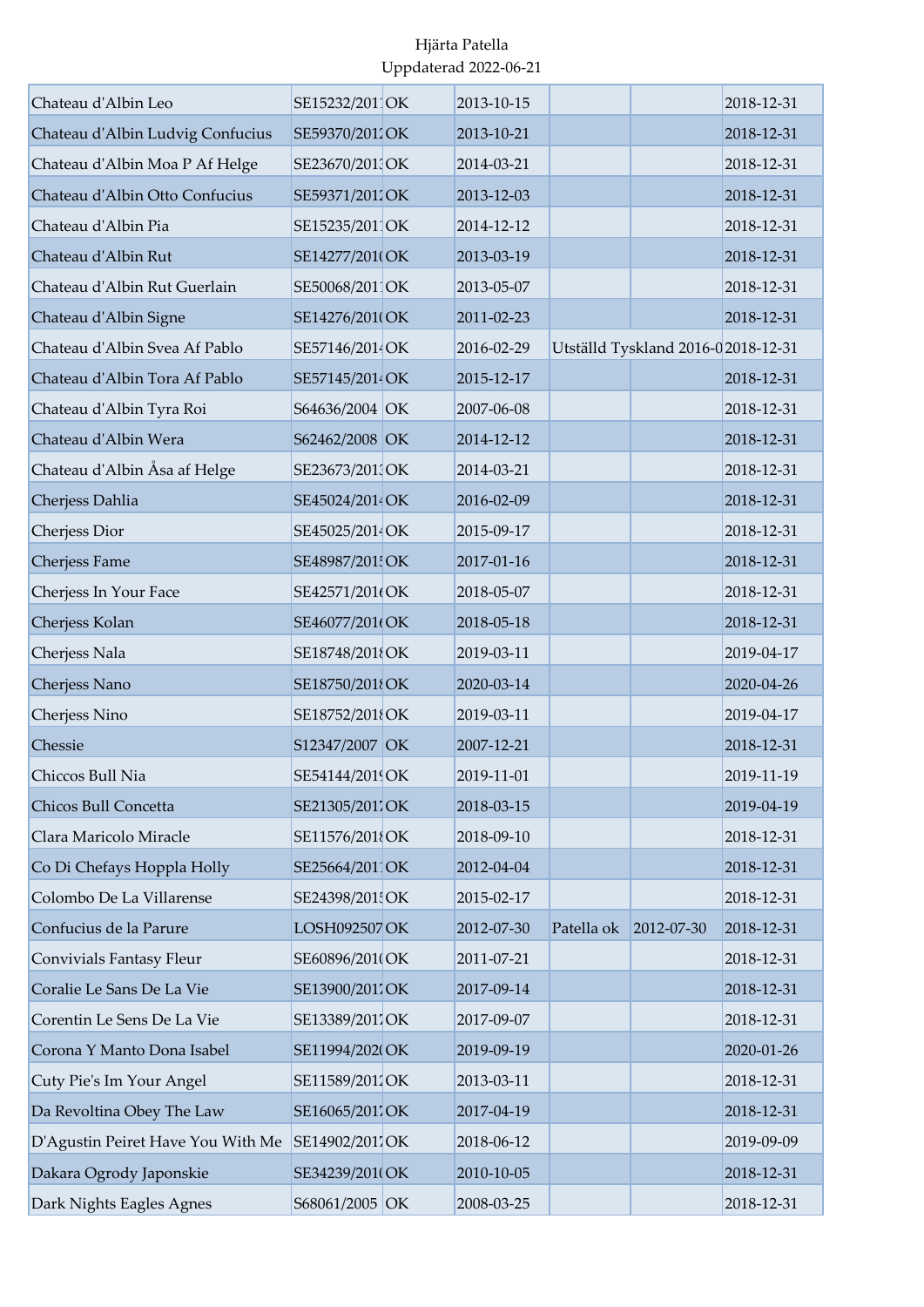| Chateau d'Albin Leo               | SE15232/2011OK  | 2013-10-15 |                       |                                     | 2018-12-31 |
|-----------------------------------|-----------------|------------|-----------------------|-------------------------------------|------------|
| Chateau d'Albin Ludvig Confucius  | SE59370/2012OK  | 2013-10-21 |                       |                                     | 2018-12-31 |
| Chateau d'Albin Moa P Af Helge    | SE23670/2013OK  | 2014-03-21 |                       |                                     | 2018-12-31 |
| Chateau d'Albin Otto Confucius    | SE59371/2012OK  | 2013-12-03 |                       |                                     | 2018-12-31 |
| Chateau d'Albin Pia               | SE15235/2011OK  | 2014-12-12 |                       |                                     | 2018-12-31 |
| Chateau d'Albin Rut               | SE14277/201(OK  | 2013-03-19 |                       |                                     | 2018-12-31 |
| Chateau d'Albin Rut Guerlain      | SE50068/2011OK  | 2013-05-07 |                       |                                     | 2018-12-31 |
| Chateau d'Albin Signe             | SE14276/2010OK  | 2011-02-23 |                       |                                     | 2018-12-31 |
| Chateau d'Albin Svea Af Pablo     | SE57146/2014OK  | 2016-02-29 |                       | Utställd Tyskland 2016-0 2018-12-31 |            |
| Chateau d'Albin Tora Af Pablo     | SE57145/2014OK  | 2015-12-17 |                       |                                     | 2018-12-31 |
| Chateau d'Albin Tyra Roi          | S64636/2004 OK  | 2007-06-08 |                       |                                     | 2018-12-31 |
| Chateau d'Albin Wera              | S62462/2008 OK  | 2014-12-12 |                       |                                     | 2018-12-31 |
| Chateau d'Albin Åsa af Helge      | SE23673/2011OK  | 2014-03-21 |                       |                                     | 2018-12-31 |
| Cherjess Dahlia                   | SE45024/2014 OK | 2016-02-09 |                       |                                     | 2018-12-31 |
| Cherjess Dior                     | SE45025/2014 OK | 2015-09-17 |                       |                                     | 2018-12-31 |
| Cherjess Fame                     | SE48987/201 OK  | 2017-01-16 |                       |                                     | 2018-12-31 |
| Cherjess In Your Face             | SE42571/201(OK  | 2018-05-07 |                       |                                     | 2018-12-31 |
| Cherjess Kolan                    | SE46077/201(OK  | 2018-05-18 |                       |                                     | 2018-12-31 |
| Cherjess Nala                     | SE18748/2018OK  | 2019-03-11 |                       |                                     | 2019-04-17 |
| Cherjess Nano                     | SE18750/2018OK  | 2020-03-14 |                       |                                     | 2020-04-26 |
| Cherjess Nino                     | SE18752/201{OK  | 2019-03-11 |                       |                                     | 2019-04-17 |
| Chessie                           | S12347/2007 OK  | 2007-12-21 |                       |                                     | 2018-12-31 |
| Chiccos Bull Nia                  | SE54144/2019OK  | 2019-11-01 |                       |                                     | 2019-11-19 |
| Chicos Bull Concetta              | SE21305/2017OK  | 2018-03-15 |                       |                                     | 2019-04-19 |
| Clara Maricolo Miracle            | SE11576/2018OK  | 2018-09-10 |                       |                                     | 2018-12-31 |
| Co Di Chefays Hoppla Holly        | SE25664/2011OK  | 2012-04-04 |                       |                                     | 2018-12-31 |
| Colombo De La Villarense          | SE24398/2015OK  | 2015-02-17 |                       |                                     | 2018-12-31 |
| Confucius de la Parure            | LOSH092507 OK   | 2012-07-30 | Patella ok 2012-07-30 |                                     | 2018-12-31 |
| Convivials Fantasy Fleur          | SE60896/201(OK  | 2011-07-21 |                       |                                     | 2018-12-31 |
| Coralie Le Sans De La Vie         | SE13900/2017OK  | 2017-09-14 |                       |                                     | 2018-12-31 |
| Corentin Le Sens De La Vie        | SE13389/2017OK  | 2017-09-07 |                       |                                     | 2018-12-31 |
| Corona Y Manto Dona Isabel        | SE11994/202(OK  | 2019-09-19 |                       |                                     | 2020-01-26 |
| Cuty Pie's Im Your Angel          | SE11589/2011OK  | 2013-03-11 |                       |                                     | 2018-12-31 |
| Da Revoltina Obey The Law         | SE16065/2017OK  | 2017-04-19 |                       |                                     | 2018-12-31 |
| D'Agustin Peiret Have You With Me | SE14902/2017OK  | 2018-06-12 |                       |                                     | 2019-09-09 |
| Dakara Ogrody Japonskie           | SE34239/201(OK  | 2010-10-05 |                       |                                     | 2018-12-31 |
| Dark Nights Eagles Agnes          | S68061/2005 OK  | 2008-03-25 |                       |                                     | 2018-12-31 |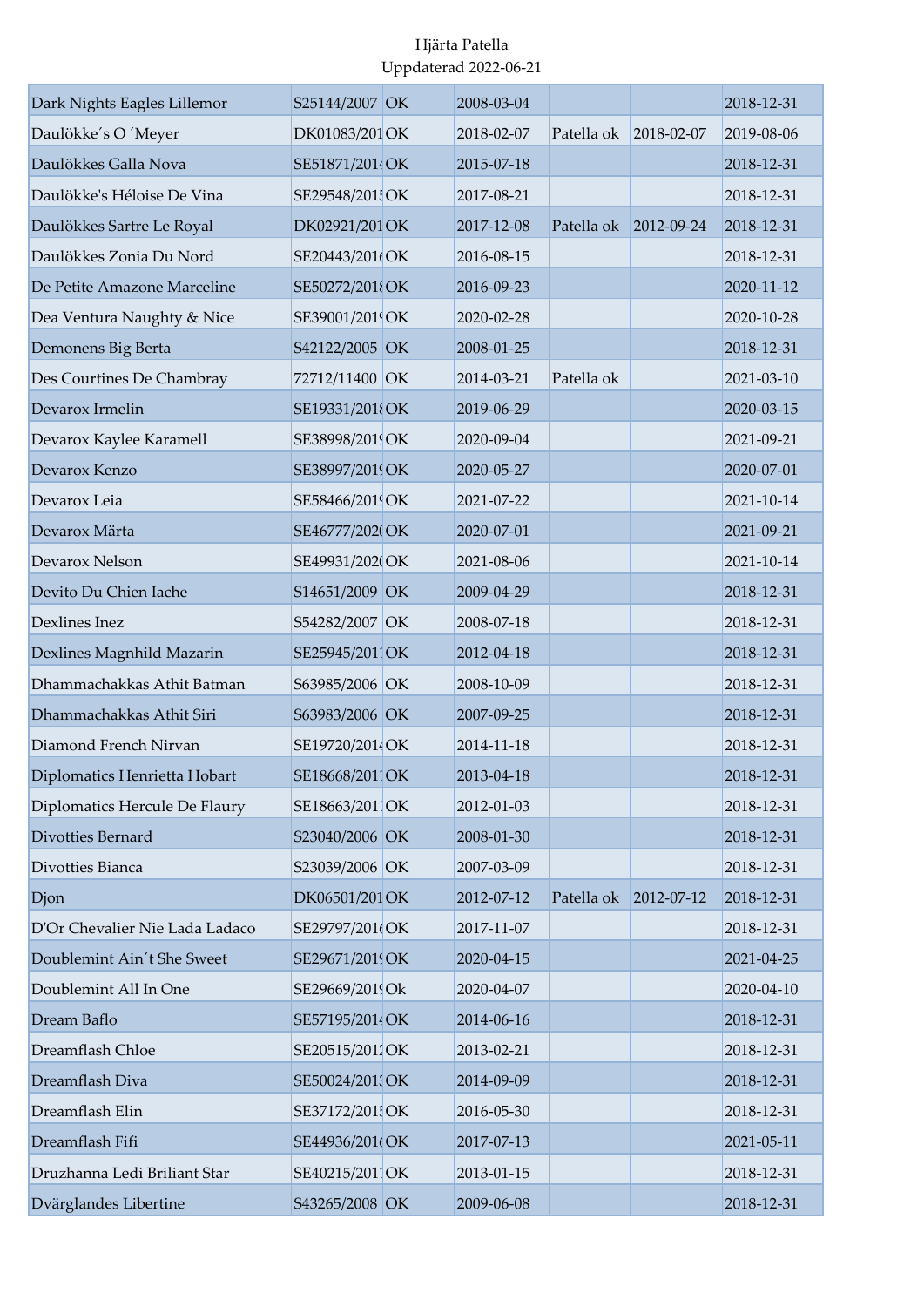| Dark Nights Eagles Lillemor    | S25144/2007 OK  | 2008-03-04 |                       |            | 2018-12-31 |
|--------------------------------|-----------------|------------|-----------------------|------------|------------|
| Daulökke's O 'Meyer            | DK01083/201 OK  | 2018-02-07 | Patella ok            | 2018-02-07 | 2019-08-06 |
| Daulökkes Galla Nova           | SE51871/2014 OK | 2015-07-18 |                       |            | 2018-12-31 |
| Daulökke's Héloise De Vina     | SE29548/201 OK  | 2017-08-21 |                       |            | 2018-12-31 |
| Daulökkes Sartre Le Royal      | DK02921/201 OK  | 2017-12-08 | Patella ok 2012-09-24 |            | 2018-12-31 |
| Daulökkes Zonia Du Nord        | SE20443/201(OK  | 2016-08-15 |                       |            | 2018-12-31 |
| De Petite Amazone Marceline    | SE50272/2018OK  | 2016-09-23 |                       |            | 2020-11-12 |
| Dea Ventura Naughty & Nice     | SE39001/2019OK  | 2020-02-28 |                       |            | 2020-10-28 |
| Demonens Big Berta             | S42122/2005 OK  | 2008-01-25 |                       |            | 2018-12-31 |
| Des Courtines De Chambray      | 72712/11400 OK  | 2014-03-21 | Patella ok            |            | 2021-03-10 |
| Devarox Irmelin                | SE19331/2018OK  | 2019-06-29 |                       |            | 2020-03-15 |
| Devarox Kaylee Karamell        | SE38998/2019OK  | 2020-09-04 |                       |            | 2021-09-21 |
| Devarox Kenzo                  | SE38997/2019OK  | 2020-05-27 |                       |            | 2020-07-01 |
| Devarox Leia                   | SE58466/2019OK  | 2021-07-22 |                       |            | 2021-10-14 |
| Devarox Märta                  | SE46777/2020OK  | 2020-07-01 |                       |            | 2021-09-21 |
| Devarox Nelson                 | SE49931/202(OK  | 2021-08-06 |                       |            | 2021-10-14 |
| Devito Du Chien Iache          | S14651/2009 OK  | 2009-04-29 |                       |            | 2018-12-31 |
| Dexlines Inez                  | S54282/2007 OK  | 2008-07-18 |                       |            | 2018-12-31 |
| Dexlines Magnhild Mazarin      | SE25945/2011OK  | 2012-04-18 |                       |            | 2018-12-31 |
| Dhammachakkas Athit Batman     | S63985/2006 OK  | 2008-10-09 |                       |            | 2018-12-31 |
| Dhammachakkas Athit Siri       | S63983/2006 OK  | 2007-09-25 |                       |            | 2018-12-31 |
| Diamond French Nirvan          | SE19720/2014OK  | 2014-11-18 |                       |            | 2018-12-31 |
| Diplomatics Henrietta Hobart   | SE18668/2011OK  | 2013-04-18 |                       |            | 2018-12-31 |
| Diplomatics Hercule De Flaury  | SE18663/2011OK  | 2012-01-03 |                       |            | 2018-12-31 |
| Divotties Bernard              | S23040/2006 OK  | 2008-01-30 |                       |            | 2018-12-31 |
| Divotties Bianca               | S23039/2006 OK  | 2007-03-09 |                       |            | 2018-12-31 |
| Djon                           | DK06501/201 OK  | 2012-07-12 | Patella ok            | 2012-07-12 | 2018-12-31 |
| D'Or Chevalier Nie Lada Ladaco | SE29797/201(OK  | 2017-11-07 |                       |            | 2018-12-31 |
| Doublemint Ain't She Sweet     | SE29671/2019OK  | 2020-04-15 |                       |            | 2021-04-25 |
| Doublemint All In One          | SE29669/2019Ok  | 2020-04-07 |                       |            | 2020-04-10 |
| Dream Baflo                    | SE57195/2014OK  | 2014-06-16 |                       |            | 2018-12-31 |
| Dreamflash Chloe               | SE20515/2012OK  | 2013-02-21 |                       |            | 2018-12-31 |
| Dreamflash Diva                | SE50024/201 OK  | 2014-09-09 |                       |            | 2018-12-31 |
| Dreamflash Elin                | SE37172/201 OK  | 2016-05-30 |                       |            | 2018-12-31 |
| Dreamflash Fifi                | SE44936/201(OK  | 2017-07-13 |                       |            | 2021-05-11 |
| Druzhanna Ledi Briliant Star   | SE40215/2011OK  | 2013-01-15 |                       |            | 2018-12-31 |
| Dvärglandes Libertine          | S43265/2008 OK  | 2009-06-08 |                       |            | 2018-12-31 |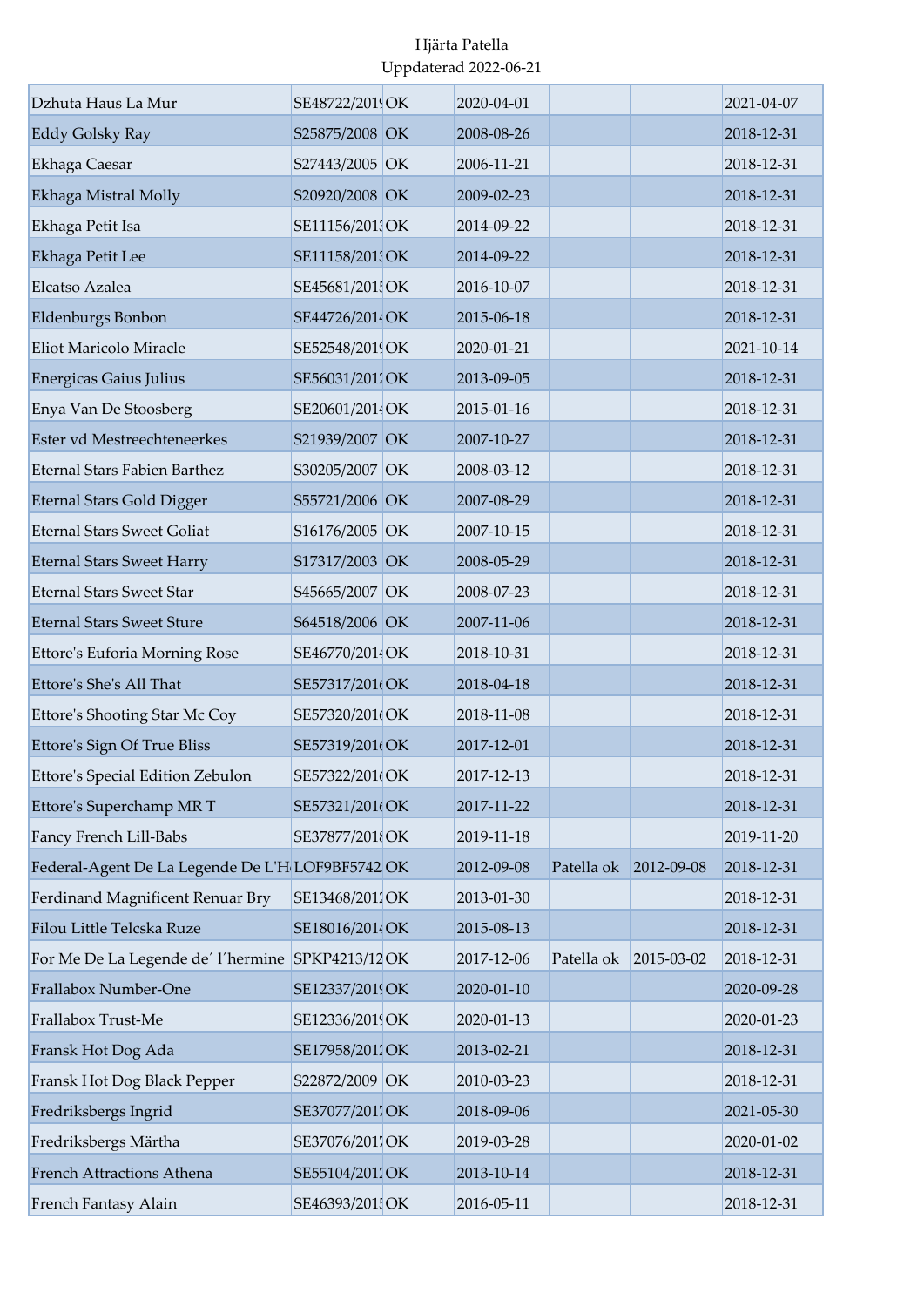| Dzhuta Haus La Mur                               | SE48722/2019OK  | 2020-04-01 |                       |                  | 2021-04-07 |
|--------------------------------------------------|-----------------|------------|-----------------------|------------------|------------|
| <b>Eddy Golsky Ray</b>                           | S25875/2008 OK  | 2008-08-26 |                       |                  | 2018-12-31 |
| Ekhaga Caesar                                    | S27443/2005 OK  | 2006-11-21 |                       |                  | 2018-12-31 |
| Ekhaga Mistral Molly                             | S20920/2008 OK  | 2009-02-23 |                       |                  | 2018-12-31 |
| Ekhaga Petit Isa                                 | SE11156/2013OK  | 2014-09-22 |                       |                  | 2018-12-31 |
| Ekhaga Petit Lee                                 | SE11158/201 OK  | 2014-09-22 |                       |                  | 2018-12-31 |
| Elcatso Azalea                                   | SE45681/201 OK  | 2016-10-07 |                       |                  | 2018-12-31 |
| Eldenburgs Bonbon                                | SE44726/2014 OK | 2015-06-18 |                       |                  | 2018-12-31 |
| Eliot Maricolo Miracle                           | SE52548/2019OK  | 2020-01-21 |                       |                  | 2021-10-14 |
| <b>Energicas Gaius Julius</b>                    | SE56031/2011OK  | 2013-09-05 |                       |                  | 2018-12-31 |
| Enya Van De Stoosberg                            | SE20601/2014OK  | 2015-01-16 |                       |                  | 2018-12-31 |
| Ester vd Mestreechteneerkes                      | S21939/2007 OK  | 2007-10-27 |                       |                  | 2018-12-31 |
| <b>Eternal Stars Fabien Barthez</b>              | S30205/2007 OK  | 2008-03-12 |                       |                  | 2018-12-31 |
| <b>Eternal Stars Gold Digger</b>                 | S55721/2006 OK  | 2007-08-29 |                       |                  | 2018-12-31 |
| <b>Eternal Stars Sweet Goliat</b>                | S16176/2005 OK  | 2007-10-15 |                       |                  | 2018-12-31 |
| <b>Eternal Stars Sweet Harry</b>                 | S17317/2003 OK  | 2008-05-29 |                       |                  | 2018-12-31 |
| <b>Eternal Stars Sweet Star</b>                  | S45665/2007 OK  | 2008-07-23 |                       |                  | 2018-12-31 |
| <b>Eternal Stars Sweet Sture</b>                 | S64518/2006 OK  | 2007-11-06 |                       |                  | 2018-12-31 |
| Ettore's Euforia Morning Rose                    | SE46770/2014 OK | 2018-10-31 |                       |                  | 2018-12-31 |
| Ettore's She's All That                          | SE57317/201(OK  | 2018-04-18 |                       |                  | 2018-12-31 |
| Ettore's Shooting Star Mc Coy                    | SE57320/201(OK  | 2018-11-08 |                       |                  | 2018-12-31 |
| Ettore's Sign Of True Bliss                      | SE57319/201(OK  | 2017-12-01 |                       |                  | 2018-12-31 |
| Ettore's Special Edition Zebulon                 | SE57322/201(OK  | 2017-12-13 |                       |                  | 2018-12-31 |
| Ettore's Superchamp MR T                         | SE57321/201(OK  | 2017-11-22 |                       |                  | 2018-12-31 |
| Fancy French Lill-Babs                           | SE37877/2018OK  | 2019-11-18 |                       |                  | 2019-11-20 |
| Federal-Agent De La Legende De L'H LOF9BF5742 OK |                 | 2012-09-08 | Patella ok 2012-09-08 |                  | 2018-12-31 |
| Ferdinand Magnificent Renuar Bry                 | SE13468/2011OK  | 2013-01-30 |                       |                  | 2018-12-31 |
| Filou Little Telcska Ruze                        | SE18016/2014 OK | 2015-08-13 |                       |                  | 2018-12-31 |
| For Me De La Legende de' l'hermine SPKP4213/12OK |                 | 2017-12-06 | Patella ok            | $2015 - 03 - 02$ | 2018-12-31 |
| Frallabox Number-One                             | SE12337/2019OK  | 2020-01-10 |                       |                  | 2020-09-28 |
| Frallabox Trust-Me                               | SE12336/2019OK  | 2020-01-13 |                       |                  | 2020-01-23 |
| Fransk Hot Dog Ada                               | SE17958/2011OK  | 2013-02-21 |                       |                  | 2018-12-31 |
| Fransk Hot Dog Black Pepper                      | S22872/2009 OK  | 2010-03-23 |                       |                  | 2018-12-31 |
| Fredriksbergs Ingrid                             | SE37077/2011OK  | 2018-09-06 |                       |                  | 2021-05-30 |
| Fredriksbergs Märtha                             | SE37076/2011OK  | 2019-03-28 |                       |                  | 2020-01-02 |
| French Attractions Athena                        | SE55104/2012OK  | 2013-10-14 |                       |                  | 2018-12-31 |
| French Fantasy Alain                             | SE46393/201 OK  | 2016-05-11 |                       |                  | 2018-12-31 |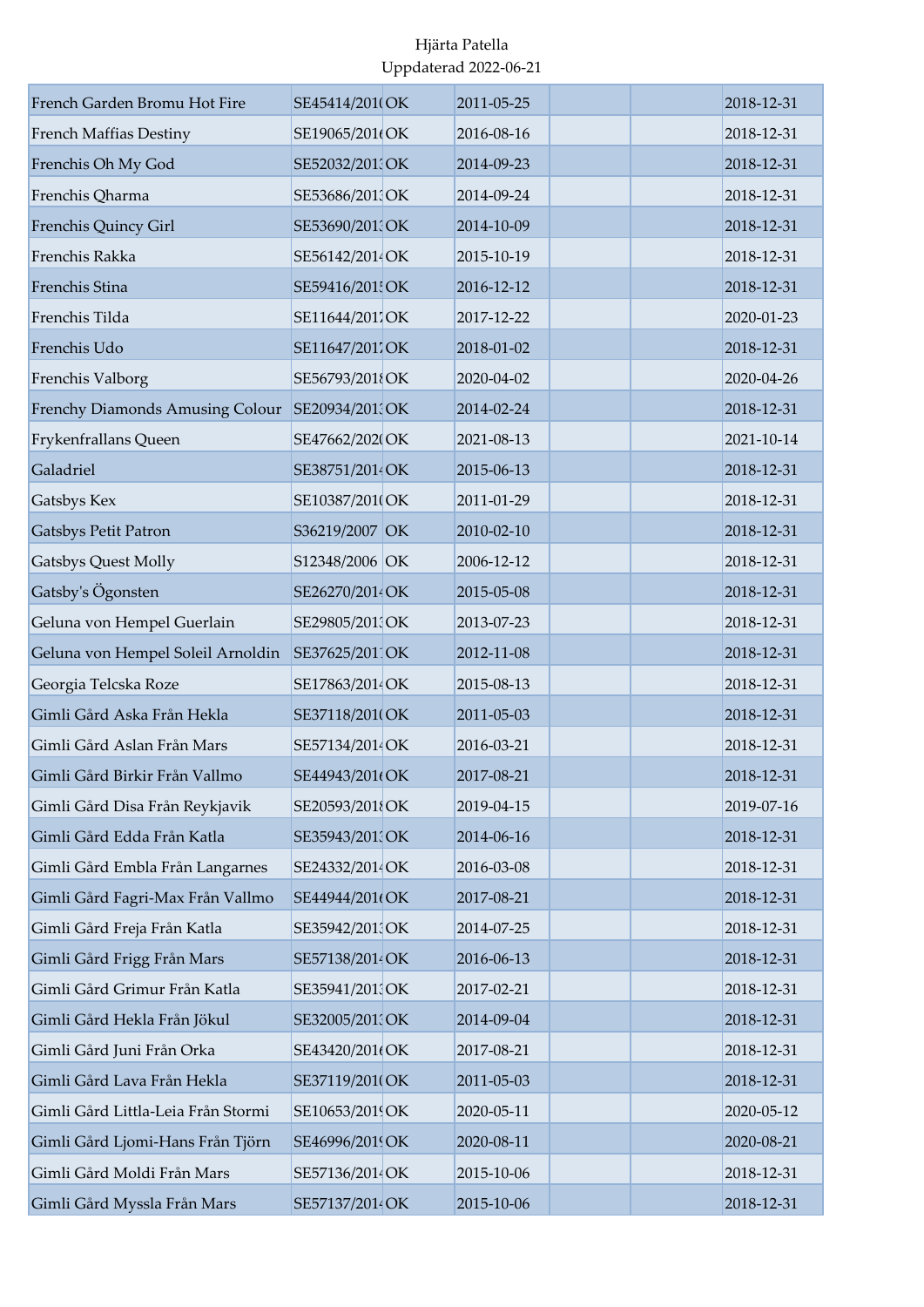| French Garden Bromu Hot Fire       | SE45414/201(OK  | 2011-05-25 | 2018-12-31 |
|------------------------------------|-----------------|------------|------------|
| French Maffias Destiny             | SE19065/201(OK  | 2016-08-16 | 2018-12-31 |
| Frenchis Oh My God                 | SE52032/2013OK  | 2014-09-23 | 2018-12-31 |
| Frenchis Qharma                    | SE53686/201 OK  | 2014-09-24 | 2018-12-31 |
| Frenchis Quincy Girl               | SE53690/201 OK  | 2014-10-09 | 2018-12-31 |
| Frenchis Rakka                     | SE56142/2014OK  | 2015-10-19 | 2018-12-31 |
| Frenchis Stina                     | SE59416/201 OK  | 2016-12-12 | 2018-12-31 |
| Frenchis Tilda                     | SE11644/2017OK  | 2017-12-22 | 2020-01-23 |
| Frenchis Udo                       | SE11647/2017OK  | 2018-01-02 | 2018-12-31 |
| Frenchis Valborg                   | SE56793/2018OK  | 2020-04-02 | 2020-04-26 |
| Frenchy Diamonds Amusing Colour    | SE20934/201 OK  | 2014-02-24 | 2018-12-31 |
| Frykenfrallans Queen               | SE47662/2020OK  | 2021-08-13 | 2021-10-14 |
| Galadriel                          | SE38751/2014 OK | 2015-06-13 | 2018-12-31 |
| Gatsbys Kex                        | SE10387/201(OK  | 2011-01-29 | 2018-12-31 |
| <b>Gatsbys Petit Patron</b>        | S36219/2007 OK  | 2010-02-10 | 2018-12-31 |
| Gatsbys Quest Molly                | S12348/2006 OK  | 2006-12-12 | 2018-12-31 |
| Gatsby's Ögonsten                  | SE26270/2014 OK | 2015-05-08 | 2018-12-31 |
| Geluna von Hempel Guerlain         | SE29805/201 OK  | 2013-07-23 | 2018-12-31 |
| Geluna von Hempel Soleil Arnoldin  | SE37625/2011OK  | 2012-11-08 | 2018-12-31 |
| Georgia Telcska Roze               | SE17863/2014 OK | 2015-08-13 | 2018-12-31 |
| Gimli Gård Aska Från Hekla         | SE37118/201(OK  | 2011-05-03 | 2018-12-31 |
| Gimli Gård Aslan Från Mars         | SE57134/2014 OK | 2016-03-21 | 2018-12-31 |
| Gimli Gård Birkir Från Vallmo      | SE44943/201(OK  | 2017-08-21 | 2018-12-31 |
| Gimli Gård Disa Från Reykjavik     | SE20593/2018OK  | 2019-04-15 | 2019-07-16 |
| Gimli Gård Edda Från Katla         | SE35943/201 OK  | 2014-06-16 | 2018-12-31 |
| Gimli Gård Embla Från Langarnes    | SE24332/2014 OK | 2016-03-08 | 2018-12-31 |
| Gimli Gård Fagri-Max Från Vallmo   | SE44944/201(OK  | 2017-08-21 | 2018-12-31 |
| Gimli Gård Freja Från Katla        | SE35942/2013OK  | 2014-07-25 | 2018-12-31 |
| Gimli Gård Frigg Från Mars         | SE57138/2014 OK | 2016-06-13 | 2018-12-31 |
| Gimli Gård Grimur Från Katla       | SE35941/2013OK  | 2017-02-21 | 2018-12-31 |
| Gimli Gård Hekla Från Jökul        | SE32005/201 OK  | 2014-09-04 | 2018-12-31 |
| Gimli Gård Juni Från Orka          | SE43420/201(OK  | 2017-08-21 | 2018-12-31 |
| Gimli Gård Lava Från Hekla         | SE37119/201(OK  | 2011-05-03 | 2018-12-31 |
| Gimli Gård Littla-Leia Från Stormi | SE10653/2019OK  | 2020-05-11 | 2020-05-12 |
| Gimli Gård Ljomi-Hans Från Tjörn   | SE46996/2019OK  | 2020-08-11 | 2020-08-21 |
| Gimli Gård Moldi Från Mars         | SE57136/2014 OK | 2015-10-06 | 2018-12-31 |
| Gimli Gård Myssla Från Mars        | SE57137/2014 OK | 2015-10-06 | 2018-12-31 |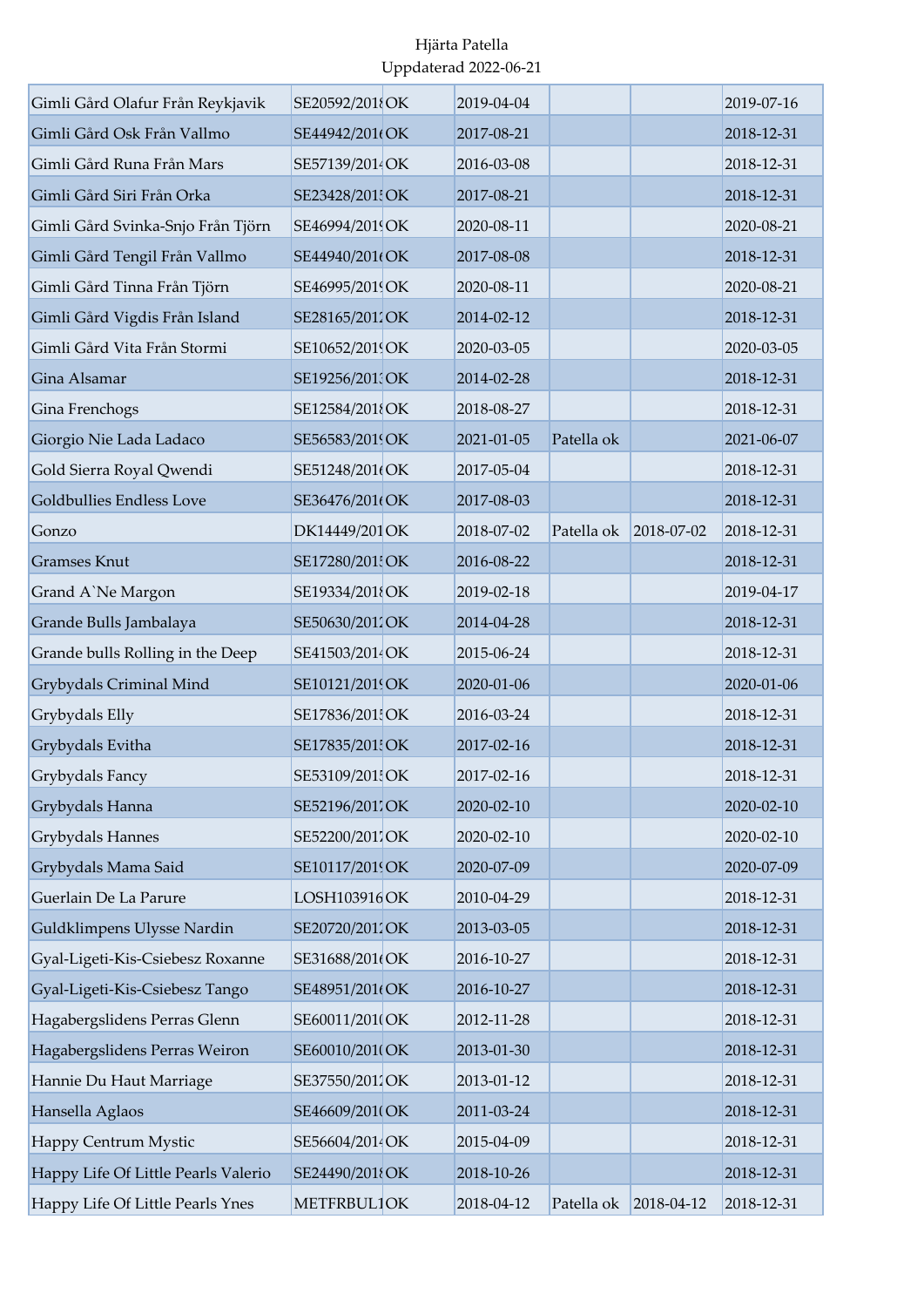| Gimli Gård Olafur Från Reykjavik    | SE20592/2018OK  | 2019-04-04 |            |            | 2019-07-16 |
|-------------------------------------|-----------------|------------|------------|------------|------------|
| Gimli Gård Osk Från Vallmo          | SE44942/201(OK  | 2017-08-21 |            |            | 2018-12-31 |
| Gimli Gård Runa Från Mars           | SE57139/2014OK  | 2016-03-08 |            |            | 2018-12-31 |
| Gimli Gård Siri Från Orka           | SE23428/201 OK  | 2017-08-21 |            |            | 2018-12-31 |
| Gimli Gård Svinka-Snjo Från Tjörn   | SE46994/2019OK  | 2020-08-11 |            |            | 2020-08-21 |
| Gimli Gård Tengil Från Vallmo       | SE44940/201(OK  | 2017-08-08 |            |            | 2018-12-31 |
| Gimli Gård Tinna Från Tjörn         | SE46995/2019OK  | 2020-08-11 |            |            | 2020-08-21 |
| Gimli Gård Vigdis Från Island       | SE28165/2012OK  | 2014-02-12 |            |            | 2018-12-31 |
| Gimli Gård Vita Från Stormi         | SE10652/2019OK  | 2020-03-05 |            |            | 2020-03-05 |
| Gina Alsamar                        | SE19256/2013OK  | 2014-02-28 |            |            | 2018-12-31 |
| Gina Frenchogs                      | SE12584/201{OK  | 2018-08-27 |            |            | 2018-12-31 |
| Giorgio Nie Lada Ladaco             | SE56583/2019OK  | 2021-01-05 | Patella ok |            | 2021-06-07 |
| Gold Sierra Royal Qwendi            | SE51248/201(OK  | 2017-05-04 |            |            | 2018-12-31 |
| Goldbullies Endless Love            | SE36476/2010 OK | 2017-08-03 |            |            | 2018-12-31 |
| Gonzo                               | DK14449/201 OK  | 2018-07-02 | Patella ok | 2018-07-02 | 2018-12-31 |
| <b>Gramses Knut</b>                 | SE17280/201 OK  | 2016-08-22 |            |            | 2018-12-31 |
| Grand A'Ne Margon                   | SE19334/2018OK  | 2019-02-18 |            |            | 2019-04-17 |
| Grande Bulls Jambalaya              | SE50630/2012OK  | 2014-04-28 |            |            | 2018-12-31 |
| Grande bulls Rolling in the Deep    | SE41503/2014 OK | 2015-06-24 |            |            | 2018-12-31 |
| Grybydals Criminal Mind             | SE10121/2019OK  | 2020-01-06 |            |            | 2020-01-06 |
| Grybydals Elly                      | SE17836/201 OK  | 2016-03-24 |            |            | 2018-12-31 |
| Grybydals Evitha                    | SE17835/201 OK  | 2017-02-16 |            |            | 2018-12-31 |
| Grybydals Fancy                     | SE53109/2015OK  | 2017-02-16 |            |            | 2018-12-31 |
| Grybydals Hanna                     | SE52196/2017OK  | 2020-02-10 |            |            | 2020-02-10 |
| Grybydals Hannes                    | SE52200/2017OK  | 2020-02-10 |            |            | 2020-02-10 |
| Grybydals Mama Said                 | SE10117/2019OK  | 2020-07-09 |            |            | 2020-07-09 |
| Guerlain De La Parure               | LOSH103916OK    | 2010-04-29 |            |            | 2018-12-31 |
| Guldklimpens Ulysse Nardin          | SE20720/2012OK  | 2013-03-05 |            |            | 2018-12-31 |
| Gyal-Ligeti-Kis-Csiebesz Roxanne    | SE31688/201(OK  | 2016-10-27 |            |            | 2018-12-31 |
| Gyal-Ligeti-Kis-Csiebesz Tango      | SE48951/201(OK  | 2016-10-27 |            |            | 2018-12-31 |
| Hagabergslidens Perras Glenn        | SE60011/201(OK  | 2012-11-28 |            |            | 2018-12-31 |
| Hagabergslidens Perras Weiron       | SE60010/2010OK  | 2013-01-30 |            |            | 2018-12-31 |
| Hannie Du Haut Marriage             | SE37550/2011OK  | 2013-01-12 |            |            | 2018-12-31 |
| Hansella Aglaos                     | SE46609/201(OK  | 2011-03-24 |            |            | 2018-12-31 |
| Happy Centrum Mystic                | SE56604/2014 OK | 2015-04-09 |            |            | 2018-12-31 |
| Happy Life Of Little Pearls Valerio | SE24490/2018OK  | 2018-10-26 |            |            | 2018-12-31 |
| Happy Life Of Little Pearls Ynes    | METFRBUL1OK     | 2018-04-12 | Patella ok | 2018-04-12 | 2018-12-31 |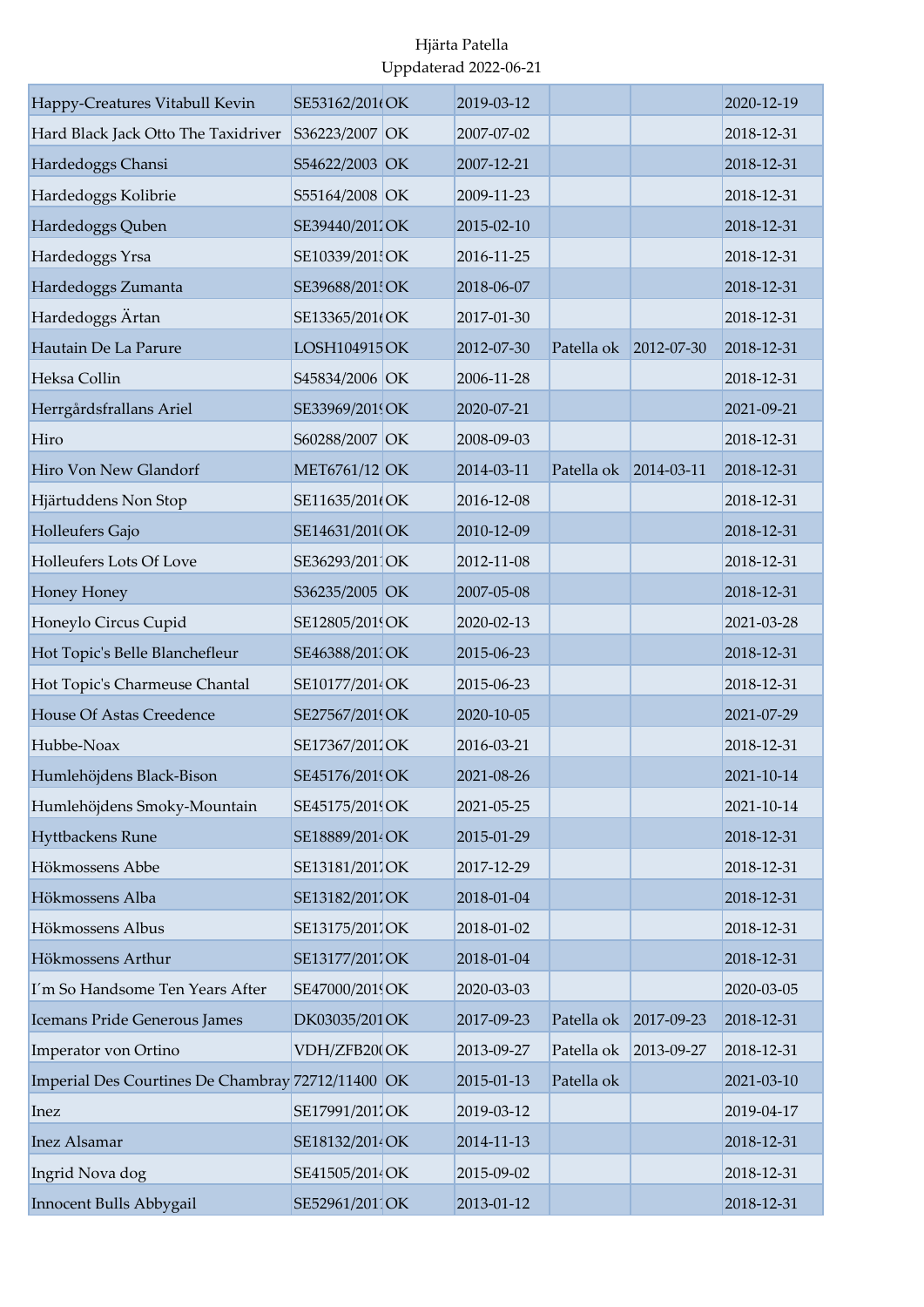| Happy-Creatures Vitabull Kevin                    | SE53162/201(OK  | 2019-03-12 |                       |            | 2020-12-19 |
|---------------------------------------------------|-----------------|------------|-----------------------|------------|------------|
| Hard Black Jack Otto The Taxidriver               | S36223/2007 OK  | 2007-07-02 |                       |            | 2018-12-31 |
| Hardedoggs Chansi                                 | S54622/2003 OK  | 2007-12-21 |                       |            | 2018-12-31 |
| Hardedoggs Kolibrie                               | S55164/2008 OK  | 2009-11-23 |                       |            | 2018-12-31 |
| Hardedoggs Quben                                  | SE39440/2011OK  | 2015-02-10 |                       |            | 2018-12-31 |
| Hardedoggs Yrsa                                   | SE10339/201 OK  | 2016-11-25 |                       |            | 2018-12-31 |
| Hardedoggs Zumanta                                | SE39688/201 OK  | 2018-06-07 |                       |            | 2018-12-31 |
| Hardedoggs Ärtan                                  | SE13365/201(OK  | 2017-01-30 |                       |            | 2018-12-31 |
| Hautain De La Parure                              | LOSH104915 OK   | 2012-07-30 | Patella ok            | 2012-07-30 | 2018-12-31 |
| Heksa Collin                                      | S45834/2006 OK  | 2006-11-28 |                       |            | 2018-12-31 |
| Herrgårdsfrallans Ariel                           | SE33969/2019OK  | 2020-07-21 |                       |            | 2021-09-21 |
| Hiro                                              | S60288/2007 OK  | 2008-09-03 |                       |            | 2018-12-31 |
| Hiro Von New Glandorf                             | MET6761/12 OK   | 2014-03-11 | Patella ok 2014-03-11 |            | 2018-12-31 |
| Hjärtuddens Non Stop                              | SE11635/201(OK  | 2016-12-08 |                       |            | 2018-12-31 |
| Holleufers Gajo                                   | SE14631/201(OK  | 2010-12-09 |                       |            | 2018-12-31 |
| Holleufers Lots Of Love                           | SE36293/2011OK  | 2012-11-08 |                       |            | 2018-12-31 |
| Honey Honey                                       | S36235/2005 OK  | 2007-05-08 |                       |            | 2018-12-31 |
| Honeylo Circus Cupid                              | SE12805/2019OK  | 2020-02-13 |                       |            | 2021-03-28 |
| Hot Topic's Belle Blanchefleur                    | SE46388/201 OK  | 2015-06-23 |                       |            | 2018-12-31 |
| Hot Topic's Charmeuse Chantal                     | SE10177/2014 OK | 2015-06-23 |                       |            | 2018-12-31 |
| <b>House Of Astas Creedence</b>                   | SE27567/2019OK  | 2020-10-05 |                       |            | 2021-07-29 |
| Hubbe-Noax                                        | SE17367/2011OK  | 2016-03-21 |                       |            | 2018-12-31 |
| Humlehöjdens Black-Bison                          | SE45176/2019OK  | 2021-08-26 |                       |            | 2021-10-14 |
| Humlehöjdens Smoky-Mountain                       | SE45175/2019 OK | 2021-05-25 |                       |            | 2021-10-14 |
| Hyttbackens Rune                                  | SE18889/2014 OK | 2015-01-29 |                       |            | 2018-12-31 |
| Hökmossens Abbe                                   | SE13181/2017OK  | 2017-12-29 |                       |            | 2018-12-31 |
| Hökmossens Alba                                   | SE13182/2011OK  | 2018-01-04 |                       |            | 2018-12-31 |
| Hökmossens Albus                                  | SE13175/2017OK  | 2018-01-02 |                       |            | 2018-12-31 |
| Hökmossens Arthur                                 | SE13177/2017OK  | 2018-01-04 |                       |            | 2018-12-31 |
| I'm So Handsome Ten Years After                   | SE47000/2019OK  | 2020-03-03 |                       |            | 2020-03-05 |
| Icemans Pride Generous James                      | DK03035/201 OK  | 2017-09-23 | Patella ok            | 2017-09-23 | 2018-12-31 |
| Imperator von Ortino                              | VDH/ZFB20(OK    | 2013-09-27 | Patella ok            | 2013-09-27 | 2018-12-31 |
| Imperial Des Courtines De Chambray 72712/11400 OK |                 | 2015-01-13 | Patella ok            |            | 2021-03-10 |
| Inez                                              | SE17991/2017OK  | 2019-03-12 |                       |            | 2019-04-17 |
| <b>Inez Alsamar</b>                               | SE18132/2014 OK | 2014-11-13 |                       |            | 2018-12-31 |
| Ingrid Nova dog                                   | SE41505/2014OK  | 2015-09-02 |                       |            | 2018-12-31 |
| Innocent Bulls Abbygail                           | SE52961/2011OK  | 2013-01-12 |                       |            | 2018-12-31 |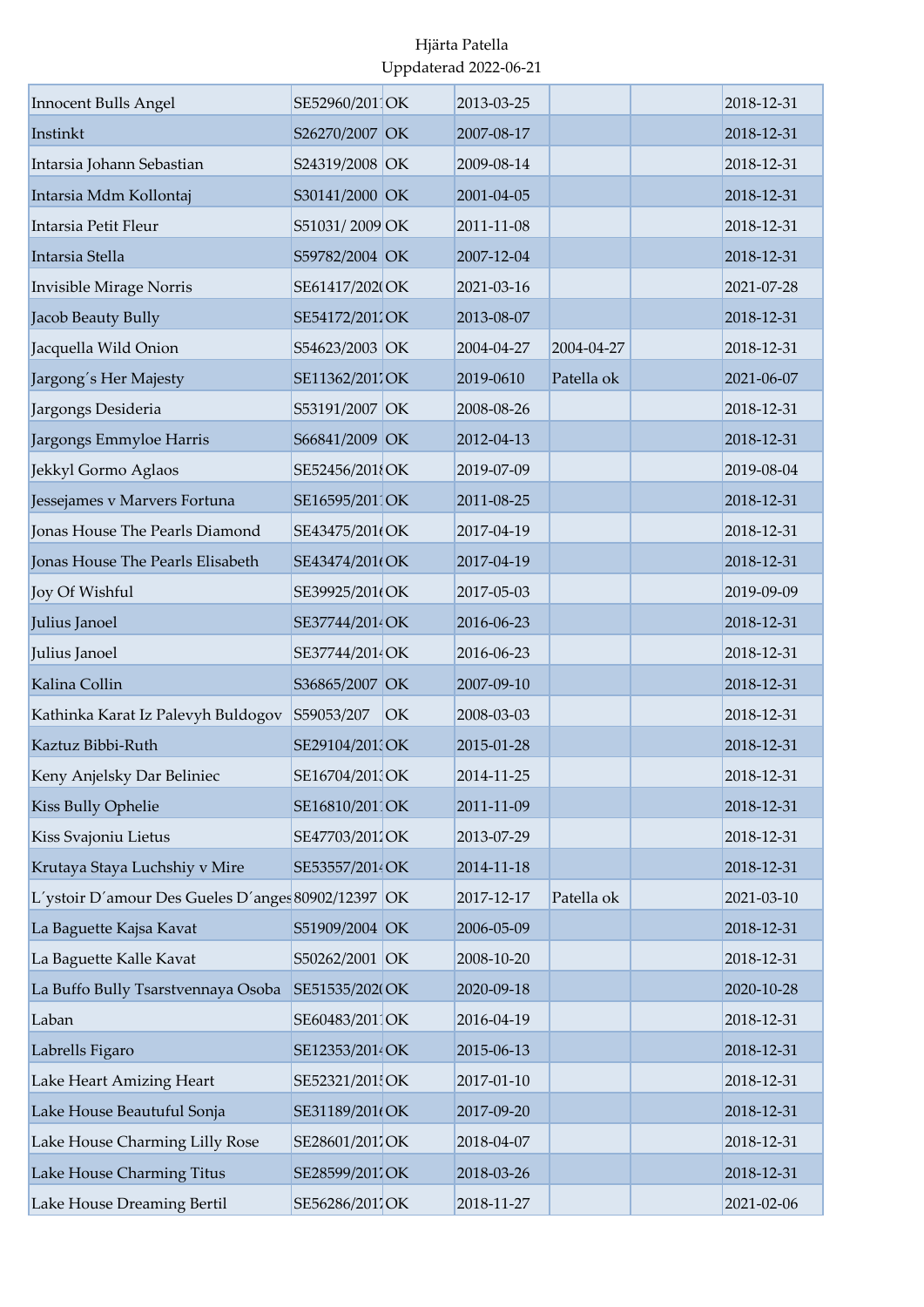| <b>Innocent Bulls Angel</b>                        | SE52960/2011OK  |    | 2013-03-25 |            | 2018-12-31 |
|----------------------------------------------------|-----------------|----|------------|------------|------------|
| Instinkt                                           | S26270/2007 OK  |    | 2007-08-17 |            | 2018-12-31 |
| Intarsia Johann Sebastian                          | S24319/2008 OK  |    | 2009-08-14 |            | 2018-12-31 |
| Intarsia Mdm Kollontaj                             | S30141/2000 OK  |    | 2001-04-05 |            | 2018-12-31 |
| Intarsia Petit Fleur                               | S51031/2009 OK  |    | 2011-11-08 |            | 2018-12-31 |
| Intarsia Stella                                    | S59782/2004 OK  |    | 2007-12-04 |            | 2018-12-31 |
| Invisible Mirage Norris                            | SE61417/202(OK  |    | 2021-03-16 |            | 2021-07-28 |
| Jacob Beauty Bully                                 | SE54172/2012OK  |    | 2013-08-07 |            | 2018-12-31 |
| Jacquella Wild Onion                               | S54623/2003 OK  |    | 2004-04-27 | 2004-04-27 | 2018-12-31 |
| Jargong's Her Majesty                              | SE11362/201.OK  |    | 2019-0610  | Patella ok | 2021-06-07 |
| Jargongs Desideria                                 | S53191/2007 OK  |    | 2008-08-26 |            | 2018-12-31 |
| Jargongs Emmyloe Harris                            | S66841/2009 OK  |    | 2012-04-13 |            | 2018-12-31 |
| Jekkyl Gormo Aglaos                                | SE52456/2018OK  |    | 2019-07-09 |            | 2019-08-04 |
| Jessejames v Marvers Fortuna                       | SE16595/2011OK  |    | 2011-08-25 |            | 2018-12-31 |
| Jonas House The Pearls Diamond                     | SE43475/201(OK  |    | 2017-04-19 |            | 2018-12-31 |
| Jonas House The Pearls Elisabeth                   | SE43474/201(OK  |    | 2017-04-19 |            | 2018-12-31 |
| Joy Of Wishful                                     | SE39925/201(OK  |    | 2017-05-03 |            | 2019-09-09 |
| Julius Janoel                                      | SE37744/2014 OK |    | 2016-06-23 |            | 2018-12-31 |
| Julius Janoel                                      | SE37744/2014 OK |    | 2016-06-23 |            | 2018-12-31 |
| Kalina Collin                                      | S36865/2007 OK  |    | 2007-09-10 |            | 2018-12-31 |
| Kathinka Karat Iz Palevyh Buldogov                 | S59053/207      | OK | 2008-03-03 |            | 2018-12-31 |
| Kaztuz Bibbi-Ruth                                  | SE29104/201 OK  |    | 2015-01-28 |            | 2018-12-31 |
| Keny Anjelsky Dar Beliniec                         | SE16704/2013OK  |    | 2014-11-25 |            | 2018-12-31 |
| Kiss Bully Ophelie                                 | SE16810/2011OK  |    | 2011-11-09 |            | 2018-12-31 |
| Kiss Svajoniu Lietus                               | SE47703/2011OK  |    | 2013-07-29 |            | 2018-12-31 |
| Krutaya Staya Luchshiy v Mire                      | SE53557/2014 OK |    | 2014-11-18 |            | 2018-12-31 |
| L'ystoir D'amour Des Gueles D'anges 80902/12397 OK |                 |    | 2017-12-17 | Patella ok | 2021-03-10 |
| La Baguette Kajsa Kavat                            | S51909/2004 OK  |    | 2006-05-09 |            | 2018-12-31 |
| La Baguette Kalle Kavat                            | S50262/2001 OK  |    | 2008-10-20 |            | 2018-12-31 |
| La Buffo Bully Tsarstvennaya Osoba                 | SE51535/2020OK  |    | 2020-09-18 |            | 2020-10-28 |
| Laban                                              | SE60483/201 OK  |    | 2016-04-19 |            | 2018-12-31 |
| Labrells Figaro                                    | SE12353/2014 OK |    | 2015-06-13 |            | 2018-12-31 |
| Lake Heart Amizing Heart                           | SE52321/201 OK  |    | 2017-01-10 |            | 2018-12-31 |
| Lake House Beautuful Sonja                         | SE31189/201(OK  |    | 2017-09-20 |            | 2018-12-31 |
| Lake House Charming Lilly Rose                     | SE28601/2017OK  |    | 2018-04-07 |            | 2018-12-31 |
| Lake House Charming Titus                          | SE28599/2017OK  |    | 2018-03-26 |            | 2018-12-31 |
| Lake House Dreaming Bertil                         | SE56286/2017OK  |    | 2018-11-27 |            | 2021-02-06 |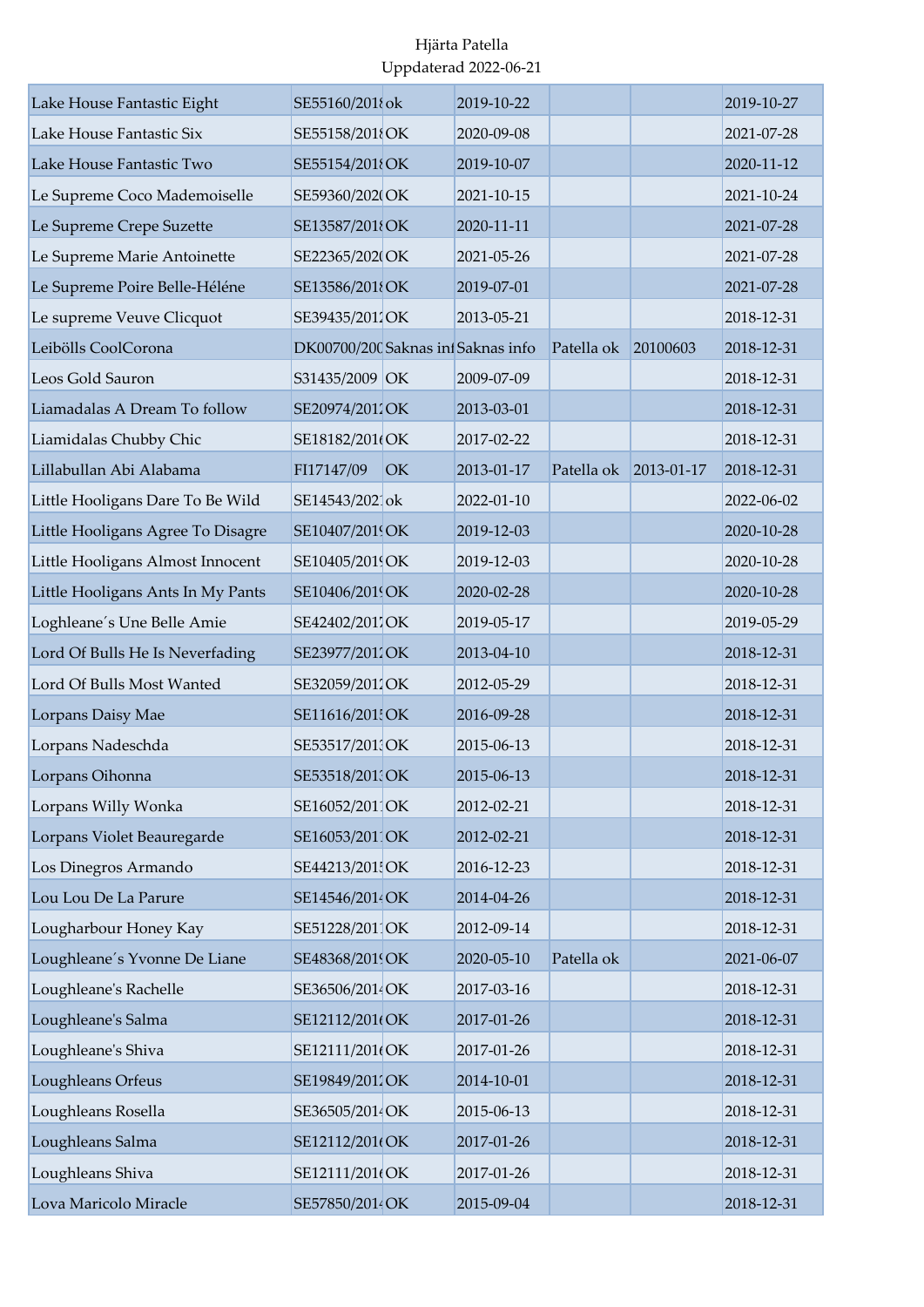| Lake House Fantastic Eight        | SE55160/201{ok                     |    | 2019-10-22 |            |            | 2019-10-27 |
|-----------------------------------|------------------------------------|----|------------|------------|------------|------------|
| Lake House Fantastic Six          | SE55158/201{OK                     |    | 2020-09-08 |            |            | 2021-07-28 |
| Lake House Fantastic Two          | SE55154/2018OK                     |    | 2019-10-07 |            |            | 2020-11-12 |
| Le Supreme Coco Mademoiselle      | SE59360/2020OK                     |    | 2021-10-15 |            |            | 2021-10-24 |
| Le Supreme Crepe Suzette          | SE13587/2018OK                     |    | 2020-11-11 |            |            | 2021-07-28 |
| Le Supreme Marie Antoinette       | SE22365/202(OK                     |    | 2021-05-26 |            |            | 2021-07-28 |
| Le Supreme Poire Belle-Héléne     | SE13586/2018OK                     |    | 2019-07-01 |            |            | 2021-07-28 |
| Le supreme Veuve Clicquot         | SE39435/2011OK                     |    | 2013-05-21 |            |            | 2018-12-31 |
| Leibölls CoolCorona               | DK00700/200 Saknas inf Saknas info |    |            | Patella ok | 20100603   | 2018-12-31 |
| Leos Gold Sauron                  | S31435/2009 OK                     |    | 2009-07-09 |            |            | 2018-12-31 |
| Liamadalas A Dream To follow      | SE20974/2012OK                     |    | 2013-03-01 |            |            | 2018-12-31 |
| Liamidalas Chubby Chic            | SE18182/201(OK                     |    | 2017-02-22 |            |            | 2018-12-31 |
| Lillabullan Abi Alabama           | FI17147/09                         | OK | 2013-01-17 | Patella ok | 2013-01-17 | 2018-12-31 |
| Little Hooligans Dare To Be Wild  | SE14543/2021ok                     |    | 2022-01-10 |            |            | 2022-06-02 |
| Little Hooligans Agree To Disagre | SE10407/2019OK                     |    | 2019-12-03 |            |            | 2020-10-28 |
| Little Hooligans Almost Innocent  | SE10405/2019OK                     |    | 2019-12-03 |            |            | 2020-10-28 |
| Little Hooligans Ants In My Pants | SE10406/2019OK                     |    | 2020-02-28 |            |            | 2020-10-28 |
| Loghleane's Une Belle Amie        | SE42402/2011OK                     |    | 2019-05-17 |            |            | 2019-05-29 |
| Lord Of Bulls He Is Neverfading   | SE23977/2012OK                     |    | 2013-04-10 |            |            | 2018-12-31 |
| Lord Of Bulls Most Wanted         | SE32059/2011OK                     |    | 2012-05-29 |            |            | 2018-12-31 |
| Lorpans Daisy Mae                 | SE11616/201 OK                     |    | 2016-09-28 |            |            | 2018-12-31 |
| Lorpans Nadeschda                 | SE53517/2011OK                     |    | 2015-06-13 |            |            | 2018-12-31 |
| Lorpans Oihonna                   | SE53518/201 OK                     |    | 2015-06-13 |            |            | 2018-12-31 |
| Lorpans Willy Wonka               | SE16052/2011OK                     |    | 2012-02-21 |            |            | 2018-12-31 |
| Lorpans Violet Beauregarde        | SE16053/2011OK                     |    | 2012-02-21 |            |            | 2018-12-31 |
| Los Dinegros Armando              | SE44213/201 OK                     |    | 2016-12-23 |            |            | 2018-12-31 |
| Lou Lou De La Parure              | SE14546/2014OK                     |    | 2014-04-26 |            |            | 2018-12-31 |
| Lougharbour Honey Kay             | SE51228/2011OK                     |    | 2012-09-14 |            |            | 2018-12-31 |
| Loughleane's Yvonne De Liane      | SE48368/2019OK                     |    | 2020-05-10 | Patella ok |            | 2021-06-07 |
| Loughleane's Rachelle             | SE36506/2014OK                     |    | 2017-03-16 |            |            | 2018-12-31 |
| Loughleane's Salma                | SE12112/201(OK                     |    | 2017-01-26 |            |            | 2018-12-31 |
| Loughleane's Shiva                | SE12111/201(OK                     |    | 2017-01-26 |            |            | 2018-12-31 |
| Loughleans Orfeus                 | SE19849/2011OK                     |    | 2014-10-01 |            |            | 2018-12-31 |
| Loughleans Rosella                | SE36505/2014OK                     |    | 2015-06-13 |            |            | 2018-12-31 |
| Loughleans Salma                  | SE12112/201(OK                     |    | 2017-01-26 |            |            | 2018-12-31 |
| Loughleans Shiva                  | SE12111/201(OK                     |    | 2017-01-26 |            |            | 2018-12-31 |
| Lova Maricolo Miracle             | SE57850/2014OK                     |    | 2015-09-04 |            |            | 2018-12-31 |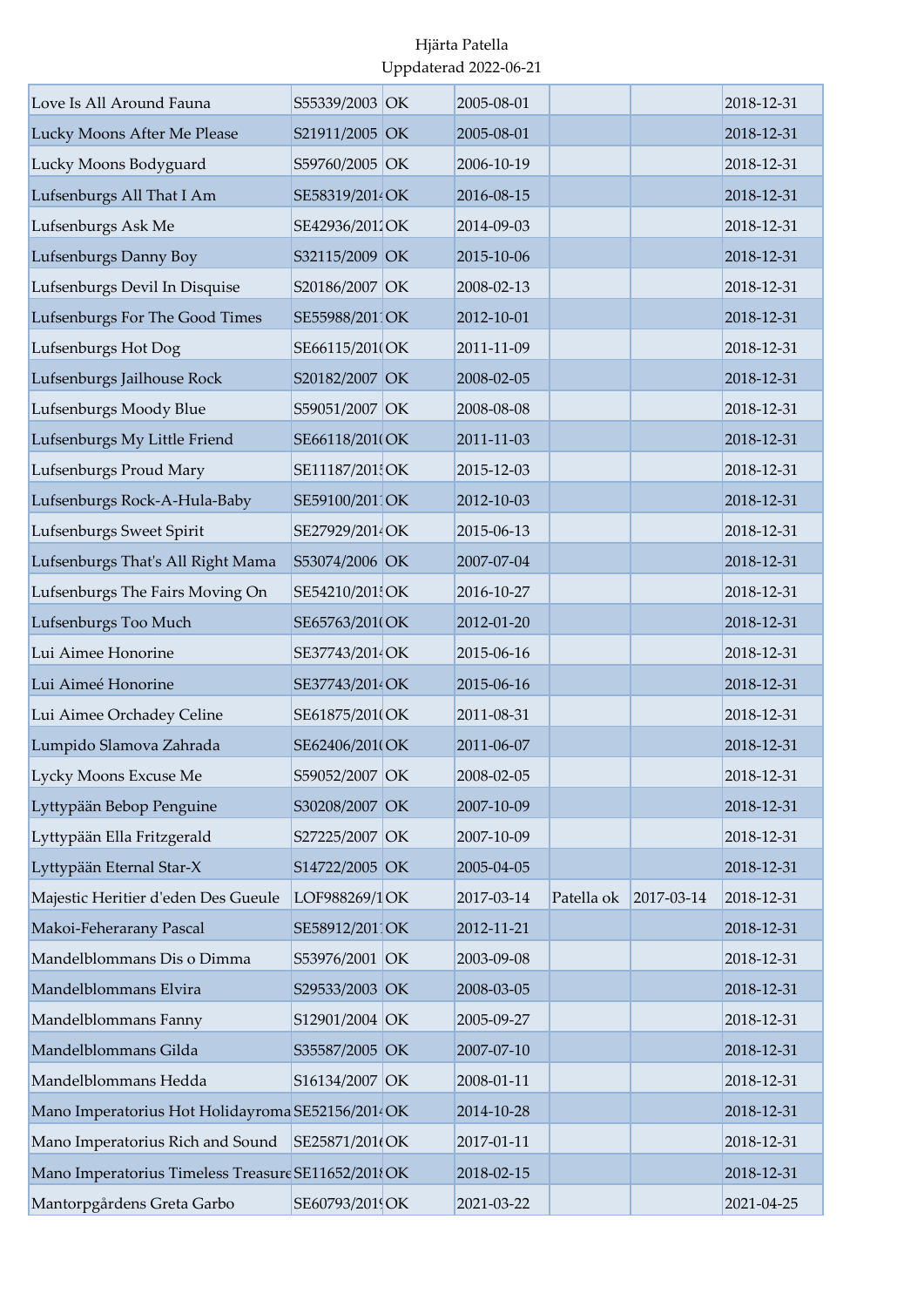| Love Is All Around Fauna                           | S55339/2003 OK  | 2005-08-01 |            |            | 2018-12-31 |
|----------------------------------------------------|-----------------|------------|------------|------------|------------|
| Lucky Moons After Me Please                        | S21911/2005 OK  | 2005-08-01 |            |            | 2018-12-31 |
| Lucky Moons Bodyguard                              | S59760/2005 OK  | 2006-10-19 |            |            | 2018-12-31 |
| Lufsenburgs All That I Am                          | SE58319/2014 OK | 2016-08-15 |            |            | 2018-12-31 |
| Lufsenburgs Ask Me                                 | SE42936/2011OK  | 2014-09-03 |            |            | 2018-12-31 |
| Lufsenburgs Danny Boy                              | S32115/2009 OK  | 2015-10-06 |            |            | 2018-12-31 |
| Lufsenburgs Devil In Disquise                      | S20186/2007 OK  | 2008-02-13 |            |            | 2018-12-31 |
| Lufsenburgs For The Good Times                     | SE55988/2011OK  | 2012-10-01 |            |            | 2018-12-31 |
| Lufsenburgs Hot Dog                                | SE66115/2010OK  | 2011-11-09 |            |            | 2018-12-31 |
| Lufsenburgs Jailhouse Rock                         | S20182/2007 OK  | 2008-02-05 |            |            | 2018-12-31 |
| Lufsenburgs Moody Blue                             | S59051/2007 OK  | 2008-08-08 |            |            | 2018-12-31 |
| Lufsenburgs My Little Friend                       | SE66118/201(OK  | 2011-11-03 |            |            | 2018-12-31 |
| Lufsenburgs Proud Mary                             | SE11187/201 OK  | 2015-12-03 |            |            | 2018-12-31 |
| Lufsenburgs Rock-A-Hula-Baby                       | SE59100/2011OK  | 2012-10-03 |            |            | 2018-12-31 |
| Lufsenburgs Sweet Spirit                           | SE27929/2014 OK | 2015-06-13 |            |            | 2018-12-31 |
| Lufsenburgs That's All Right Mama                  | S53074/2006 OK  | 2007-07-04 |            |            | 2018-12-31 |
| Lufsenburgs The Fairs Moving On                    | SE54210/201 OK  | 2016-10-27 |            |            | 2018-12-31 |
| Lufsenburgs Too Much                               | SE65763/201(OK  | 2012-01-20 |            |            | 2018-12-31 |
| Lui Aimee Honorine                                 | SE37743/2014OK  | 2015-06-16 |            |            | 2018-12-31 |
| Lui Aimeé Honorine                                 | SE37743/2014 OK | 2015-06-16 |            |            | 2018-12-31 |
| Lui Aimee Orchadey Celine                          | SE61875/201(OK  | 2011-08-31 |            |            | 2018-12-31 |
| Lumpido Slamova Zahrada                            | SE62406/201(OK  | 2011-06-07 |            |            | 2018-12-31 |
| Lycky Moons Excuse Me                              | S59052/2007 OK  | 2008-02-05 |            |            | 2018-12-31 |
| Lyttypään Bebop Penguine                           | S30208/2007 OK  | 2007-10-09 |            |            | 2018-12-31 |
| Lyttypään Ella Fritzgerald                         | S27225/2007 OK  | 2007-10-09 |            |            | 2018-12-31 |
| Lyttypään Eternal Star-X                           | S14722/2005 OK  | 2005-04-05 |            |            | 2018-12-31 |
| Majestic Heritier d'eden Des Gueule                | LOF988269/1OK   | 2017-03-14 | Patella ok | 2017-03-14 | 2018-12-31 |
| Makoi-Feherarany Pascal                            | SE58912/2011OK  | 2012-11-21 |            |            | 2018-12-31 |
| Mandelblommans Dis o Dimma                         | S53976/2001 OK  | 2003-09-08 |            |            | 2018-12-31 |
| Mandelblommans Elvira                              | S29533/2003 OK  | 2008-03-05 |            |            | 2018-12-31 |
| Mandelblommans Fanny                               | S12901/2004 OK  | 2005-09-27 |            |            | 2018-12-31 |
| Mandelblommans Gilda                               | S35587/2005 OK  | 2007-07-10 |            |            | 2018-12-31 |
| Mandelblommans Hedda                               | S16134/2007 OK  | 2008-01-11 |            |            | 2018-12-31 |
| Mano Imperatorius Hot Holidayroma SE52156/2014 OK  |                 | 2014-10-28 |            |            | 2018-12-31 |
| Mano Imperatorius Rich and Sound                   | SE25871/201(OK  | 2017-01-11 |            |            | 2018-12-31 |
| Mano Imperatorius Timeless Treasure SE11652/2018OK |                 | 2018-02-15 |            |            | 2018-12-31 |
| Mantorpgårdens Greta Garbo                         | SE60793/2019OK  | 2021-03-22 |            |            | 2021-04-25 |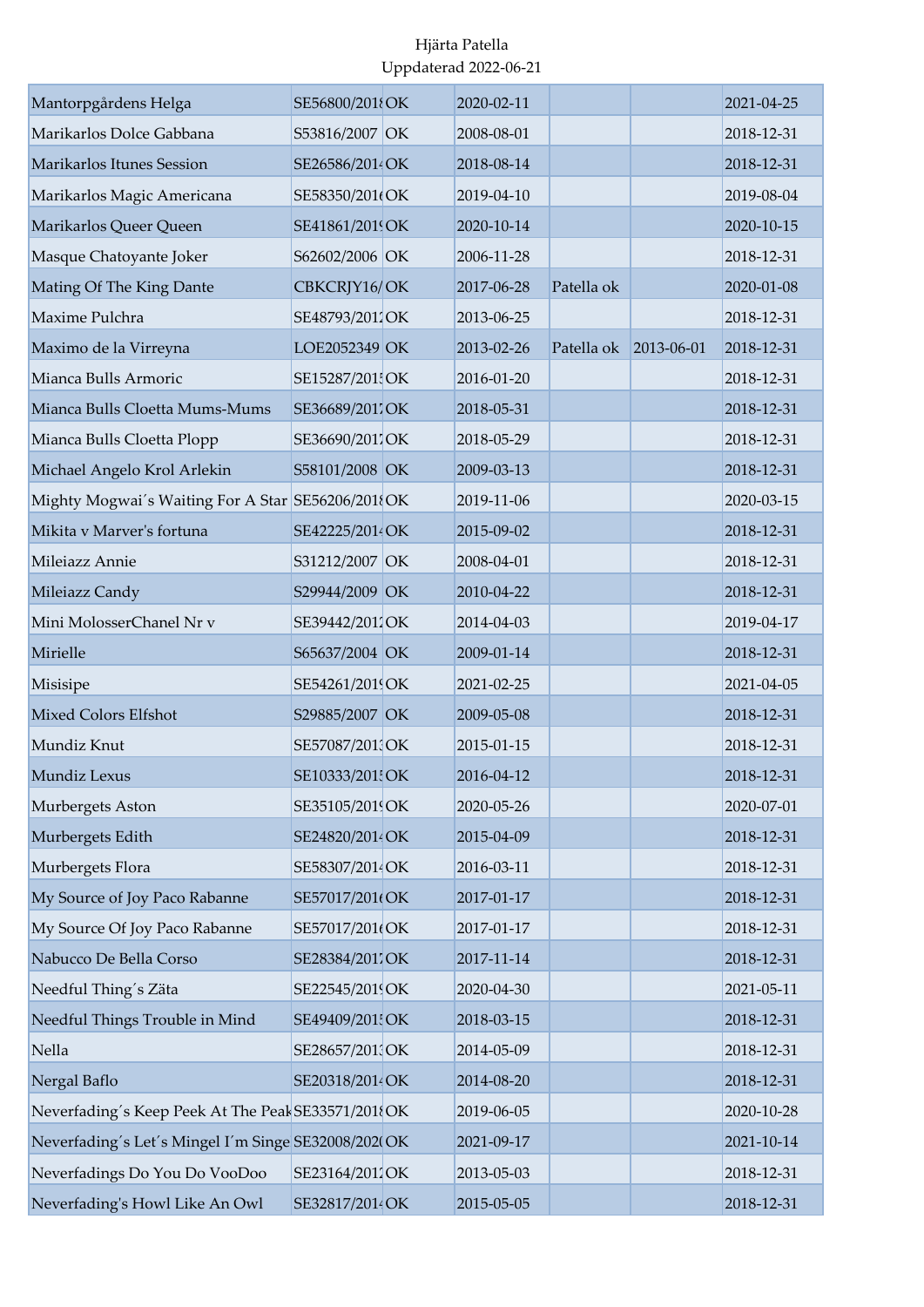| Mantorpgårdens Helga<br>Marikarlos Dolce Gabbana    | SE56800/2018OK<br>S53816/2007 OK | 2020-02-11<br>2008-08-01 |            |                  | 2021-04-25<br>2018-12-31 |
|-----------------------------------------------------|----------------------------------|--------------------------|------------|------------------|--------------------------|
|                                                     |                                  |                          |            |                  |                          |
| Marikarlos Itunes Session                           | SE26586/2014OK                   | 2018-08-14               |            |                  | 2018-12-31               |
| Marikarlos Magic Americana                          | SE58350/201(OK                   | 2019-04-10               |            |                  | 2019-08-04               |
| Marikarlos Queer Queen                              | SE41861/2019OK                   | 2020-10-14               |            |                  | 2020-10-15               |
| Masque Chatoyante Joker                             | S62602/2006 OK                   | 2006-11-28               |            |                  | 2018-12-31               |
| Mating Of The King Dante                            | CBKCRJY16/OK                     | 2017-06-28               | Patella ok |                  | 2020-01-08               |
| Maxime Pulchra                                      | SE48793/2012OK                   | 2013-06-25               |            |                  | 2018-12-31               |
| Maximo de la Virreyna                               | LOE2052349 OK                    | 2013-02-26               | Patella ok | $2013 - 06 - 01$ | 2018-12-31               |
| Mianca Bulls Armoric                                | SE15287/201 OK                   | 2016-01-20               |            |                  | 2018-12-31               |
| Mianca Bulls Cloetta Mums-Mums                      | SE36689/2017OK                   | 2018-05-31               |            |                  | 2018-12-31               |
| Mianca Bulls Cloetta Plopp                          | SE36690/2017OK                   | 2018-05-29               |            |                  | 2018-12-31               |
| Michael Angelo Krol Arlekin                         | S58101/2008 OK                   | 2009-03-13               |            |                  | 2018-12-31               |
| Mighty Mogwai's Waiting For A Star SE56206/2018OK   |                                  | 2019-11-06               |            |                  | 2020-03-15               |
| Mikita y Marver's fortuna                           | SE42225/2014 OK                  | 2015-09-02               |            |                  | 2018-12-31               |
| Mileiazz Annie                                      | S31212/2007 OK                   | 2008-04-01               |            |                  | 2018-12-31               |
| Mileiazz Candy                                      | S29944/2009 OK                   | 2010-04-22               |            |                  | 2018-12-31               |
| Mini MolosserChanel Nr v                            | SE39442/2012OK                   | 2014-04-03               |            |                  | 2019-04-17               |
| Mirielle                                            | S65637/2004 OK                   | 2009-01-14               |            |                  | 2018-12-31               |
| Misisipe                                            | SE54261/2019OK                   | 2021-02-25               |            |                  | 2021-04-05               |
| <b>Mixed Colors Elfshot</b>                         | S29885/2007 OK                   | 2009-05-08               |            |                  | 2018-12-31               |
| Mundiz Knut                                         | SE57087/2013OK                   | 2015-01-15               |            |                  | 2018-12-31               |
| Mundiz Lexus                                        | SE10333/201 OK                   | 2016-04-12               |            |                  | 2018-12-31               |
| Murbergets Aston                                    | SE35105/2019OK                   | 2020-05-26               |            |                  | 2020-07-01               |
| Murbergets Edith                                    | SE24820/2014 OK                  | 2015-04-09               |            |                  | 2018-12-31               |
| Murbergets Flora                                    | SE58307/2014OK                   | 2016-03-11               |            |                  | 2018-12-31               |
| My Source of Joy Paco Rabanne                       | SE57017/201(OK                   | 2017-01-17               |            |                  | 2018-12-31               |
| My Source Of Joy Paco Rabanne                       | SE57017/201(OK                   | 2017-01-17               |            |                  | 2018-12-31               |
| Nabucco De Bella Corso                              | SE28384/2011OK                   | 2017-11-14               |            |                  | 2018-12-31               |
| Needful Thing's Zäta                                | SE22545/2019OK                   | 2020-04-30               |            |                  | 2021-05-11               |
| Needful Things Trouble in Mind                      | SE49409/201 OK                   | 2018-03-15               |            |                  | 2018-12-31               |
| Nella                                               | SE28657/2013OK                   | 2014-05-09               |            |                  | 2018-12-31               |
| Nergal Baflo                                        | SE20318/2014 OK                  | 2014-08-20               |            |                  | 2018-12-31               |
| Neverfading's Keep Peek At The Peak SE33571/2018OK  |                                  | 2019-06-05               |            |                  | 2020-10-28               |
| Neverfading's Let's Mingel I'm Singe SE32008/202(OK |                                  | 2021-09-17               |            |                  | 2021-10-14               |
| Neverfadings Do You Do VooDoo                       | SE23164/2011OK                   | 2013-05-03               |            |                  | 2018-12-31               |
| Neverfading's Howl Like An Owl                      | SE32817/2014OK                   | 2015-05-05               |            |                  | 2018-12-31               |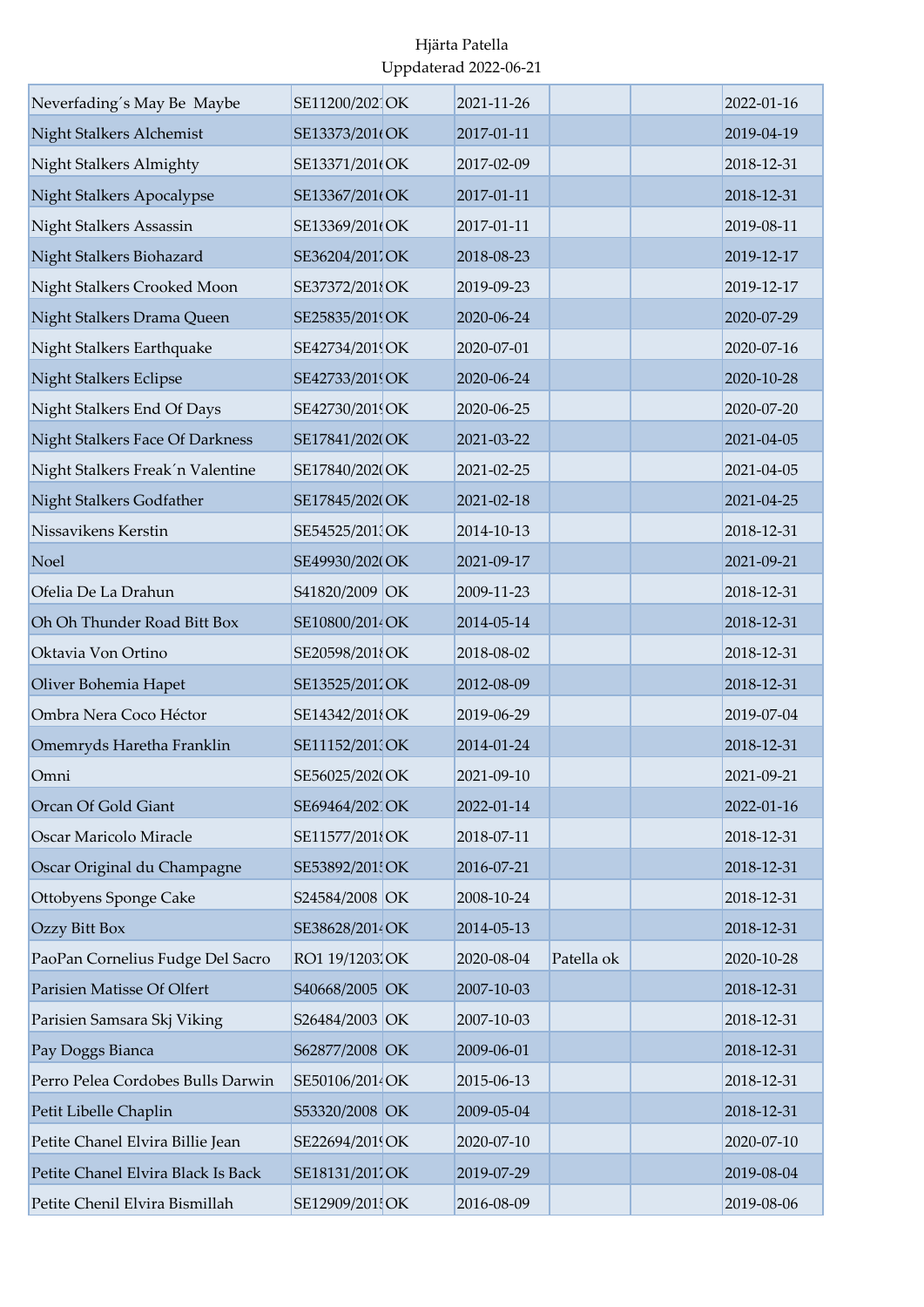| Neverfading's May Be Maybe         | SE11200/202 OK  | 2021-11-26 |            | 2022-01-16 |
|------------------------------------|-----------------|------------|------------|------------|
| Night Stalkers Alchemist           | SE13373/201(OK  | 2017-01-11 |            | 2019-04-19 |
| Night Stalkers Almighty            | SE13371/201(OK  | 2017-02-09 |            | 2018-12-31 |
| Night Stalkers Apocalypse          | SE13367/201(OK  | 2017-01-11 |            | 2018-12-31 |
| Night Stalkers Assassin            | SE13369/201(OK  | 2017-01-11 |            | 2019-08-11 |
| Night Stalkers Biohazard           | SE36204/2011OK  | 2018-08-23 |            | 2019-12-17 |
| Night Stalkers Crooked Moon        | SE37372/2018OK  | 2019-09-23 |            | 2019-12-17 |
| Night Stalkers Drama Queen         | SE25835/2019OK  | 2020-06-24 |            | 2020-07-29 |
| Night Stalkers Earthquake          | SE42734/2019OK  | 2020-07-01 |            | 2020-07-16 |
| <b>Night Stalkers Eclipse</b>      | SE42733/2019OK  | 2020-06-24 |            | 2020-10-28 |
| Night Stalkers End Of Days         | SE42730/2019OK  | 2020-06-25 |            | 2020-07-20 |
| Night Stalkers Face Of Darkness    | SE17841/202(OK  | 2021-03-22 |            | 2021-04-05 |
| Night Stalkers Freak'n Valentine   | SE17840/2020OK  | 2021-02-25 |            | 2021-04-05 |
| Night Stalkers Godfather           | SE17845/202(OK  | 2021-02-18 |            | 2021-04-25 |
| Nissavikens Kerstin                | SE54525/2013OK  | 2014-10-13 |            | 2018-12-31 |
| Noel                               | SE49930/202(OK  | 2021-09-17 |            | 2021-09-21 |
| Ofelia De La Drahun                | S41820/2009 OK  | 2009-11-23 |            | 2018-12-31 |
| Oh Oh Thunder Road Bitt Box        | SE10800/2014 OK | 2014-05-14 |            | 2018-12-31 |
| Oktavia Von Ortino                 | SE20598/201{OK  | 2018-08-02 |            | 2018-12-31 |
| Oliver Bohemia Hapet               | SE13525/2012OK  | 2012-08-09 |            | 2018-12-31 |
| Ombra Nera Coco Héctor             | SE14342/2018OK  | 2019-06-29 |            | 2019-07-04 |
| Omemryds Haretha Franklin          | SE11152/2013OK  | 2014-01-24 |            | 2018-12-31 |
| Omni                               | SE56025/2020OK  | 2021-09-10 |            | 2021-09-21 |
| Orcan Of Gold Giant                | SE69464/2021OK  | 2022-01-14 |            | 2022-01-16 |
| Oscar Maricolo Miracle             | SE11577/2018OK  | 2018-07-11 |            | 2018-12-31 |
| Oscar Original du Champagne        | SE53892/201! OK | 2016-07-21 |            | 2018-12-31 |
| Ottobyens Sponge Cake              | S24584/2008 OK  | 2008-10-24 |            | 2018-12-31 |
| Ozzy Bitt Box                      | SE38628/2014 OK | 2014-05-13 |            | 2018-12-31 |
| PaoPan Cornelius Fudge Del Sacro   | RO1 19/1203 OK  | 2020-08-04 | Patella ok | 2020-10-28 |
| Parisien Matisse Of Olfert         | S40668/2005 OK  | 2007-10-03 |            | 2018-12-31 |
| Parisien Samsara Skj Viking        | S26484/2003 OK  | 2007-10-03 |            | 2018-12-31 |
| Pay Doggs Bianca                   | S62877/2008 OK  | 2009-06-01 |            | 2018-12-31 |
| Perro Pelea Cordobes Bulls Darwin  | SE50106/2014 OK | 2015-06-13 |            | 2018-12-31 |
| Petit Libelle Chaplin              | S53320/2008 OK  | 2009-05-04 |            | 2018-12-31 |
| Petite Chanel Elvira Billie Jean   | SE22694/2019OK  | 2020-07-10 |            | 2020-07-10 |
| Petite Chanel Elvira Black Is Back | SE18131/2017OK  | 2019-07-29 |            | 2019-08-04 |
| Petite Chenil Elvira Bismillah     | SE12909/201 OK  | 2016-08-09 |            | 2019-08-06 |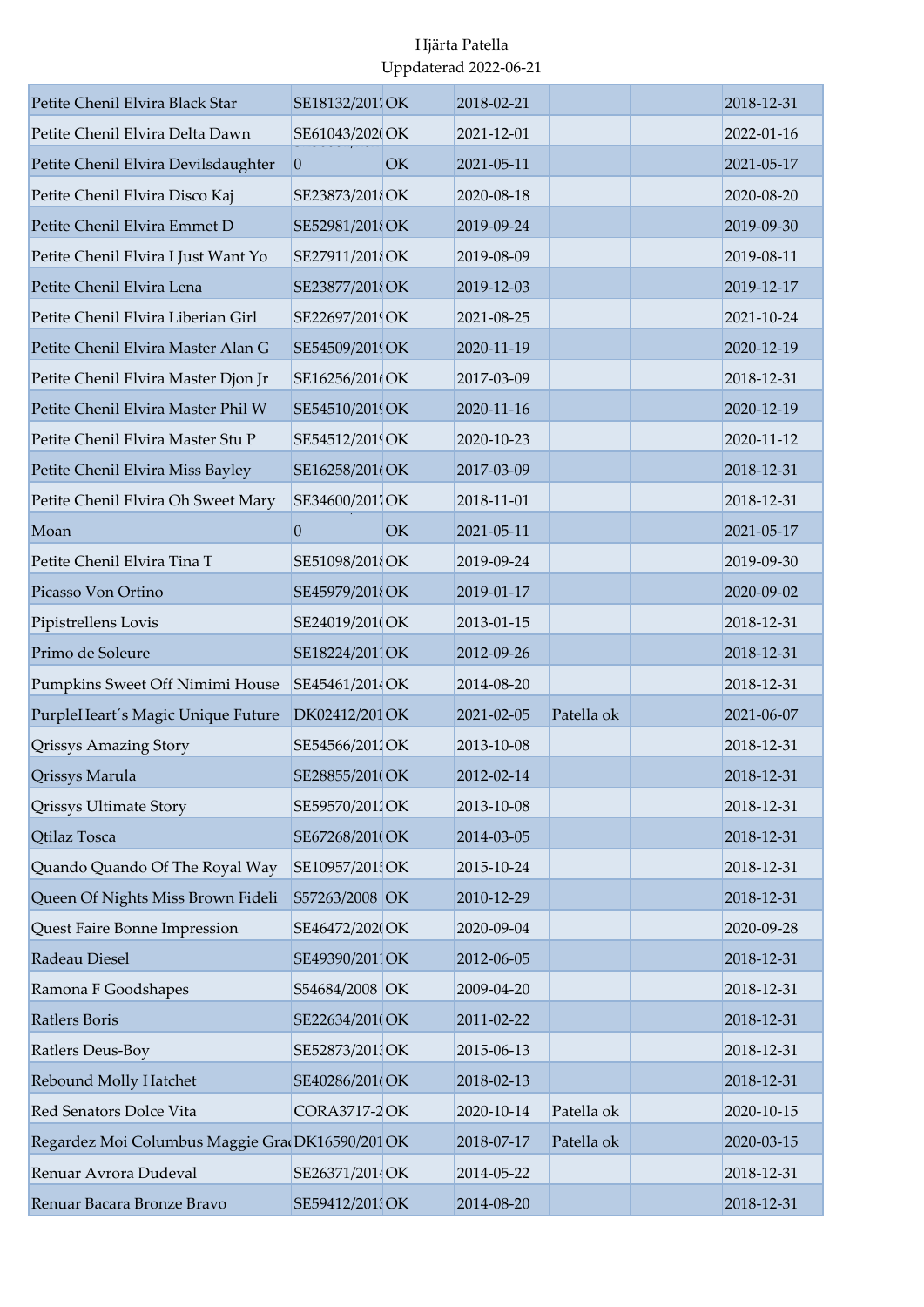| Petite Chenil Elvira Black Star                | SE18132/2011OK      |    | 2018-02-21 |            | 2018-12-31 |
|------------------------------------------------|---------------------|----|------------|------------|------------|
| Petite Chenil Elvira Delta Dawn                | SE61043/2020OK      |    | 2021-12-01 |            | 2022-01-16 |
| Petite Chenil Elvira Devilsdaughter            | $\vert 0 \vert$     | OK | 2021-05-11 |            | 2021-05-17 |
| Petite Chenil Elvira Disco Kaj                 | SE23873/2018OK      |    | 2020-08-18 |            | 2020-08-20 |
| Petite Chenil Elvira Emmet D                   | SE52981/2018OK      |    | 2019-09-24 |            | 2019-09-30 |
| Petite Chenil Elvira I Just Want Yo            | SE27911/2018OK      |    | 2019-08-09 |            | 2019-08-11 |
| Petite Chenil Elvira Lena                      | SE23877/2018OK      |    | 2019-12-03 |            | 2019-12-17 |
| Petite Chenil Elvira Liberian Girl             | SE22697/2019OK      |    | 2021-08-25 |            | 2021-10-24 |
| Petite Chenil Elvira Master Alan G             | SE54509/2019OK      |    | 2020-11-19 |            | 2020-12-19 |
| Petite Chenil Elvira Master Djon Jr            | SE16256/201(OK      |    | 2017-03-09 |            | 2018-12-31 |
| Petite Chenil Elvira Master Phil W             | SE54510/2019OK      |    | 2020-11-16 |            | 2020-12-19 |
| Petite Chenil Elvira Master Stu P              | SE54512/2019OK      |    | 2020-10-23 |            | 2020-11-12 |
| Petite Chenil Elvira Miss Bayley               | SE16258/201(OK      |    | 2017-03-09 |            | 2018-12-31 |
| Petite Chenil Elvira Oh Sweet Mary             | SE34600/2011OK      |    | 2018-11-01 |            | 2018-12-31 |
| Moan                                           | $\vert 0 \vert$     | OK | 2021-05-11 |            | 2021-05-17 |
| Petite Chenil Elvira Tina T                    | SE51098/2018OK      |    | 2019-09-24 |            | 2019-09-30 |
| Picasso Von Ortino                             | SE45979/2018OK      |    | 2019-01-17 |            | 2020-09-02 |
| Pipistrellens Lovis                            | SE24019/201(OK      |    | 2013-01-15 |            | 2018-12-31 |
| Primo de Soleure                               | SE18224/2011OK      |    | 2012-09-26 |            | 2018-12-31 |
| Pumpkins Sweet Off Nimimi House                | SE45461/2014 OK     |    | 2014-08-20 |            | 2018-12-31 |
| PurpleHeart's Magic Unique Future              | DK02412/201 OK      |    | 2021-02-05 | Patella ok | 2021-06-07 |
| <b>Qrissys Amazing Story</b>                   | SE54566/2012OK      |    | 2013-10-08 |            | 2018-12-31 |
| <b>Qrissys Marula</b>                          | SE28855/201(OK      |    | 2012-02-14 |            | 2018-12-31 |
| <b>Qrissys Ultimate Story</b>                  | SE59570/2012OK      |    | 2013-10-08 |            | 2018-12-31 |
| Qtilaz Tosca                                   | SE67268/201(OK      |    | 2014-03-05 |            | 2018-12-31 |
| Quando Quando Of The Royal Way                 | SE10957/201 OK      |    | 2015-10-24 |            | 2018-12-31 |
| Queen Of Nights Miss Brown Fideli              | S57263/2008 OK      |    | 2010-12-29 |            | 2018-12-31 |
| Quest Faire Bonne Impression                   | SE46472/2020OK      |    | 2020-09-04 |            | 2020-09-28 |
| Radeau Diesel                                  | SE49390/2011OK      |    | 2012-06-05 |            | 2018-12-31 |
| Ramona F Goodshapes                            | S54684/2008 OK      |    | 2009-04-20 |            | 2018-12-31 |
| Ratlers Boris                                  | SE22634/2010OK      |    | 2011-02-22 |            | 2018-12-31 |
| Ratlers Deus-Boy                               | SE52873/2013OK      |    | 2015-06-13 |            | 2018-12-31 |
| Rebound Molly Hatchet                          | SE40286/201(OK      |    | 2018-02-13 |            | 2018-12-31 |
| Red Senators Dolce Vita                        | <b>CORA3717-2OK</b> |    | 2020-10-14 | Patella ok | 2020-10-15 |
| Regardez Moi Columbus Maggie Gra DK16590/201OK |                     |    | 2018-07-17 | Patella ok | 2020-03-15 |
| Renuar Avrora Dudeval                          | SE26371/2014 OK     |    | 2014-05-22 |            | 2018-12-31 |
| Renuar Bacara Bronze Bravo                     | SE59412/2013OK      |    | 2014-08-20 |            | 2018-12-31 |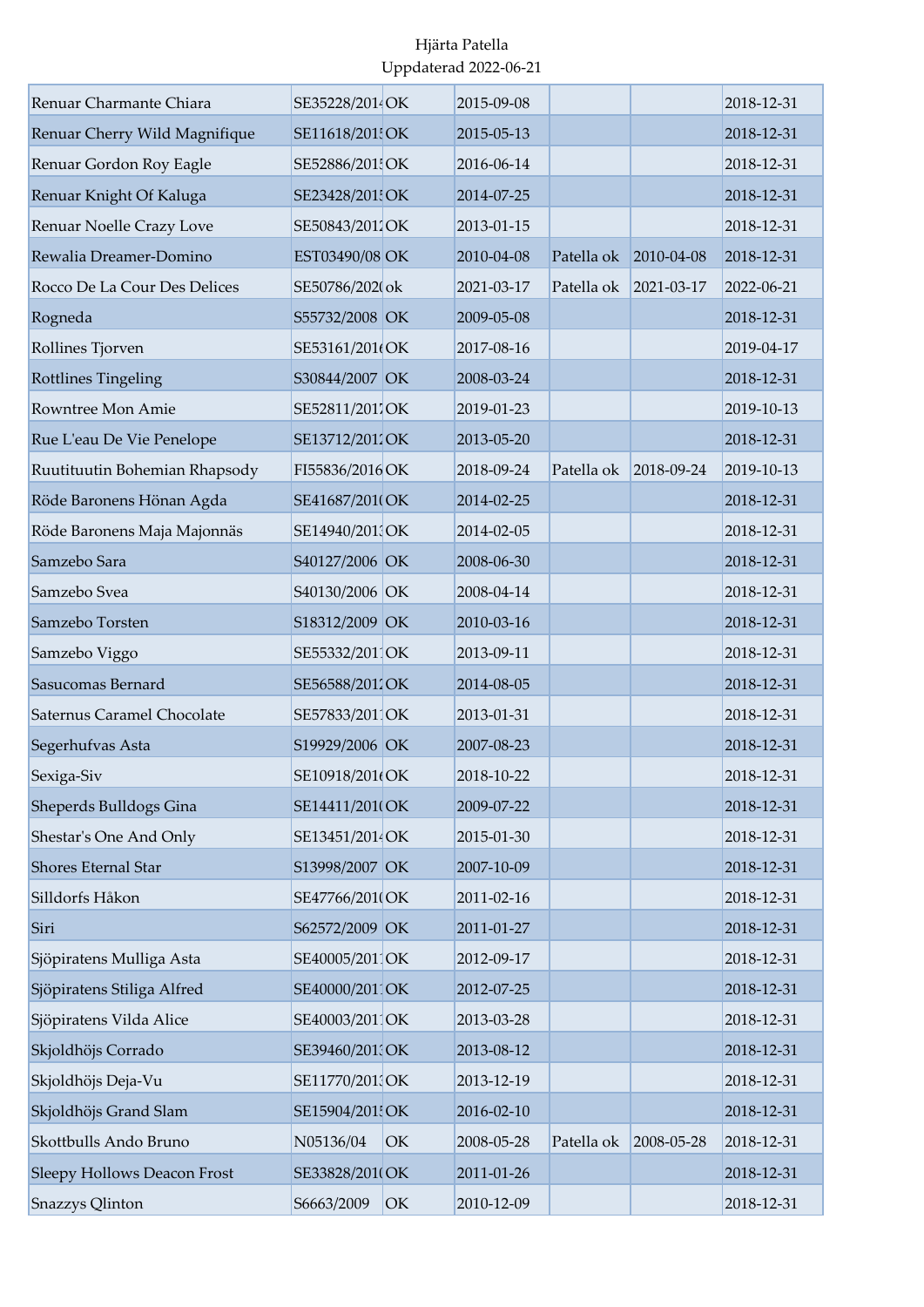| Renuar Charmante Chiara       | SE35228/2014OK  |    | 2015-09-08 |            |            | 2018-12-31 |
|-------------------------------|-----------------|----|------------|------------|------------|------------|
| Renuar Cherry Wild Magnifique | SE11618/201 OK  |    | 2015-05-13 |            |            | 2018-12-31 |
| Renuar Gordon Roy Eagle       | SE52886/2015OK  |    | 2016-06-14 |            |            | 2018-12-31 |
| Renuar Knight Of Kaluga       | SE23428/201 OK  |    | 2014-07-25 |            |            | 2018-12-31 |
| Renuar Noelle Crazy Love      | SE50843/2012OK  |    | 2013-01-15 |            |            | 2018-12-31 |
| Rewalia Dreamer-Domino        | EST03490/08 OK  |    | 2010-04-08 | Patella ok | 2010-04-08 | 2018-12-31 |
| Rocco De La Cour Des Delices  | SE50786/2020ok  |    | 2021-03-17 | Patella ok | 2021-03-17 | 2022-06-21 |
| Rogneda                       | S55732/2008 OK  |    | 2009-05-08 |            |            | 2018-12-31 |
| Rollines Tjorven              | SE53161/201(OK  |    | 2017-08-16 |            |            | 2019-04-17 |
| Rottlines Tingeling           | S30844/2007 OK  |    | 2008-03-24 |            |            | 2018-12-31 |
| Rowntree Mon Amie             | SE52811/2017OK  |    | 2019-01-23 |            |            | 2019-10-13 |
| Rue L'eau De Vie Penelope     | SE13712/2012OK  |    | 2013-05-20 |            |            | 2018-12-31 |
| Ruutituutin Bohemian Rhapsody | FI55836/2016 OK |    | 2018-09-24 | Patella ok | 2018-09-24 | 2019-10-13 |
| Röde Baronens Hönan Agda      | SE41687/2010OK  |    | 2014-02-25 |            |            | 2018-12-31 |
| Röde Baronens Maja Majonnäs   | SE14940/201 OK  |    | 2014-02-05 |            |            | 2018-12-31 |
| Samzebo Sara                  | S40127/2006 OK  |    | 2008-06-30 |            |            | 2018-12-31 |
| Samzebo Svea                  | S40130/2006 OK  |    | 2008-04-14 |            |            | 2018-12-31 |
| Samzebo Torsten               | S18312/2009 OK  |    | 2010-03-16 |            |            | 2018-12-31 |
| Samzebo Viggo                 | SE55332/2011OK  |    | 2013-09-11 |            |            | 2018-12-31 |
| Sasucomas Bernard             | SE56588/2012OK  |    | 2014-08-05 |            |            | 2018-12-31 |
| Saternus Caramel Chocolate    | SE57833/2011OK  |    | 2013-01-31 |            |            | 2018-12-31 |
| Segerhufvas Asta              | S19929/2006 OK  |    | 2007-08-23 |            |            | 2018-12-31 |
| Sexiga-Siv                    | SE10918/201(OK  |    | 2018-10-22 |            |            | 2018-12-31 |
| Sheperds Bulldogs Gina        | SE14411/201(OK  |    | 2009-07-22 |            |            | 2018-12-31 |
| Shestar's One And Only        | SE13451/2014 OK |    | 2015-01-30 |            |            | 2018-12-31 |
| Shores Eternal Star           | S13998/2007 OK  |    | 2007-10-09 |            |            | 2018-12-31 |
| Silldorfs Håkon               | SE47766/201(OK  |    | 2011-02-16 |            |            | 2018-12-31 |
| Siri                          | S62572/2009 OK  |    | 2011-01-27 |            |            | 2018-12-31 |
| Sjöpiratens Mulliga Asta      | SE40005/201 OK  |    | 2012-09-17 |            |            | 2018-12-31 |
| Sjöpiratens Stiliga Alfred    | SE40000/2011OK  |    | 2012-07-25 |            |            | 2018-12-31 |
| Sjöpiratens Vilda Alice       | SE40003/201 OK  |    | 2013-03-28 |            |            | 2018-12-31 |
| Skjoldhöjs Corrado            | SE39460/201 OK  |    | 2013-08-12 |            |            | 2018-12-31 |
| Skjoldhöjs Deja-Vu            | SE11770/201 OK  |    | 2013-12-19 |            |            | 2018-12-31 |
| Skjoldhöjs Grand Slam         | SE15904/201 OK  |    | 2016-02-10 |            |            | 2018-12-31 |
| Skottbulls Ando Bruno         | N05136/04       | OK | 2008-05-28 | Patella ok | 2008-05-28 | 2018-12-31 |
| Sleepy Hollows Deacon Frost   | SE33828/201(OK  |    | 2011-01-26 |            |            | 2018-12-31 |
| Snazzys Qlinton               | S6663/2009      | OK | 2010-12-09 |            |            | 2018-12-31 |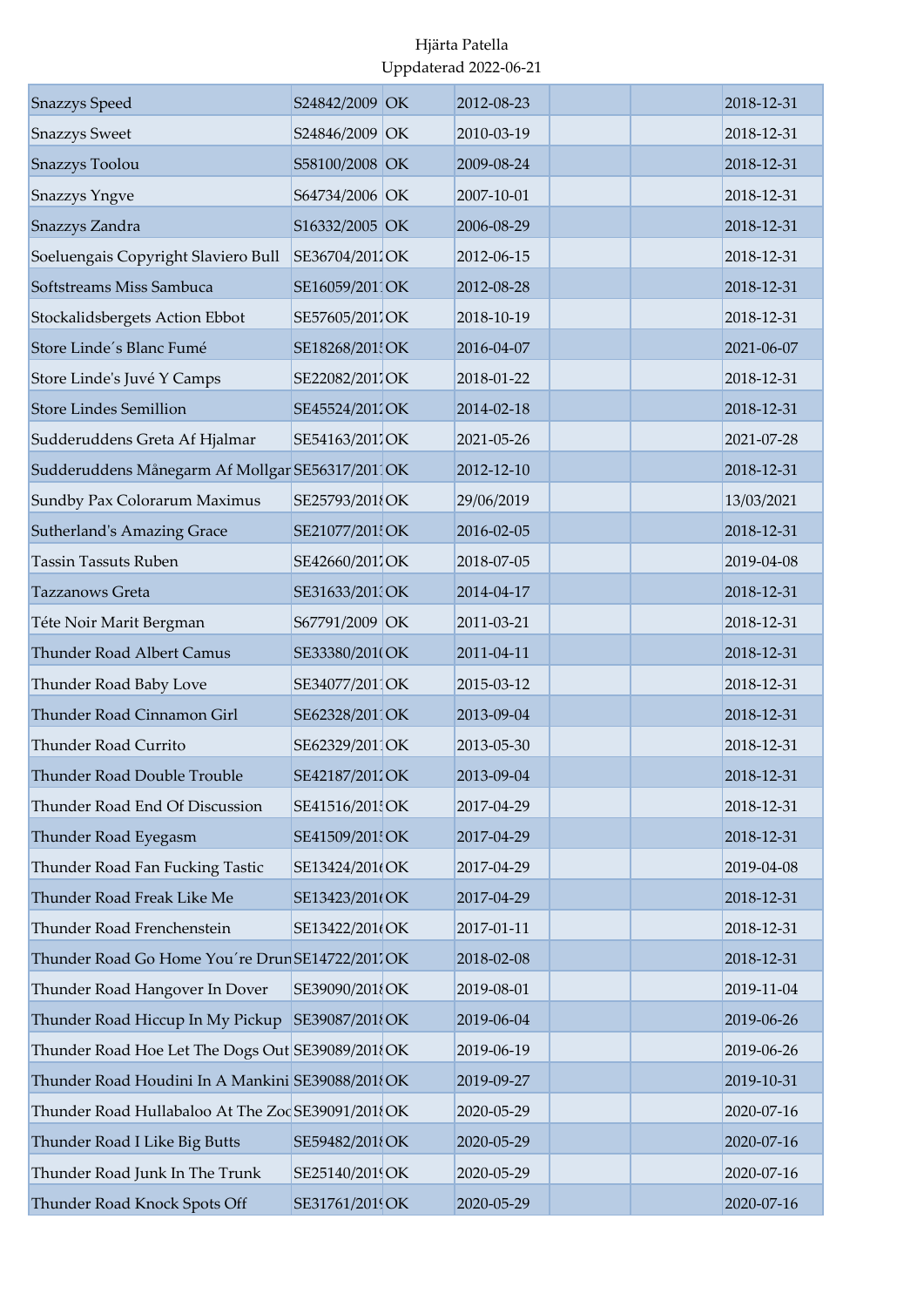| <b>Snazzys</b> Speed                              | S24842/2009 OK | 2012-08-23 |  | 2018-12-31 |
|---------------------------------------------------|----------------|------------|--|------------|
| <b>Snazzys Sweet</b>                              | S24846/2009 OK | 2010-03-19 |  | 2018-12-31 |
| Snazzys Toolou                                    | S58100/2008 OK | 2009-08-24 |  | 2018-12-31 |
| <b>Snazzys Yngve</b>                              | S64734/2006 OK | 2007-10-01 |  | 2018-12-31 |
| Snazzys Zandra                                    | S16332/2005 OK | 2006-08-29 |  | 2018-12-31 |
| Soeluengais Copyright Slaviero Bull               | SE36704/2011OK | 2012-06-15 |  | 2018-12-31 |
| Softstreams Miss Sambuca                          | SE16059/2011OK | 2012-08-28 |  | 2018-12-31 |
| Stockalidsbergets Action Ebbot                    | SE57605/2011OK | 2018-10-19 |  | 2018-12-31 |
| Store Linde's Blanc Fumé                          | SE18268/201 OK | 2016-04-07 |  | 2021-06-07 |
| Store Linde's Juvé Y Camps                        | SE22082/2017OK | 2018-01-22 |  | 2018-12-31 |
| <b>Store Lindes Semillion</b>                     | SE45524/2012OK | 2014-02-18 |  | 2018-12-31 |
| Sudderuddens Greta Af Hjalmar                     | SE54163/2017OK | 2021-05-26 |  | 2021-07-28 |
| Sudderuddens Månegarm Af Mollgar SE56317/2011OK   |                | 2012-12-10 |  | 2018-12-31 |
| Sundby Pax Colorarum Maximus                      | SE25793/2018OK | 29/06/2019 |  | 13/03/2021 |
| Sutherland's Amazing Grace                        | SE21077/201 OK | 2016-02-05 |  | 2018-12-31 |
| <b>Tassin Tassuts Ruben</b>                       | SE42660/2011OK | 2018-07-05 |  | 2019-04-08 |
| Tazzanows Greta                                   | SE31633/201 OK | 2014-04-17 |  | 2018-12-31 |
| Téte Noir Marit Bergman                           | S67791/2009 OK | 2011-03-21 |  | 2018-12-31 |
| <b>Thunder Road Albert Camus</b>                  | SE33380/201(OK | 2011-04-11 |  | 2018-12-31 |
| Thunder Road Baby Love                            | SE34077/2011OK | 2015-03-12 |  | 2018-12-31 |
| Thunder Road Cinnamon Girl                        | SE62328/2011OK | 2013-09-04 |  | 2018-12-31 |
| Thunder Road Currito                              | SE62329/2011OK | 2013-05-30 |  | 2018-12-31 |
| Thunder Road Double Trouble                       | SE42187/2012OK | 2013-09-04 |  | 2018-12-31 |
| Thunder Road End Of Discussion                    | SE41516/201 OK | 2017-04-29 |  | 2018-12-31 |
| Thunder Road Eyegasm                              | SE41509/201 OK | 2017-04-29 |  | 2018-12-31 |
| Thunder Road Fan Fucking Tastic                   | SE13424/201(OK | 2017-04-29 |  | 2019-04-08 |
| Thunder Road Freak Like Me                        | SE13423/201(OK | 2017-04-29 |  | 2018-12-31 |
| Thunder Road Frenchenstein                        | SE13422/201(OK | 2017-01-11 |  | 2018-12-31 |
| Thunder Road Go Home You're Drun SE14722/2011OK   |                | 2018-02-08 |  | 2018-12-31 |
| Thunder Road Hangover In Dover                    | SE39090/2018OK | 2019-08-01 |  | 2019-11-04 |
| Thunder Road Hiccup In My Pickup                  | SE39087/2018OK | 2019-06-04 |  | 2019-06-26 |
| Thunder Road Hoe Let The Dogs Out SE39089/2018OK  |                | 2019-06-19 |  | 2019-06-26 |
| Thunder Road Houdini In A Mankini SE39088/2018OK  |                | 2019-09-27 |  | 2019-10-31 |
| Thunder Road Hullabaloo At The Zoc SE39091/201{OK |                | 2020-05-29 |  | 2020-07-16 |
| Thunder Road I Like Big Butts                     | SE59482/2018OK | 2020-05-29 |  | 2020-07-16 |
| Thunder Road Junk In The Trunk                    | SE25140/2019OK | 2020-05-29 |  | 2020-07-16 |
| Thunder Road Knock Spots Off                      | SE31761/2019OK | 2020-05-29 |  | 2020-07-16 |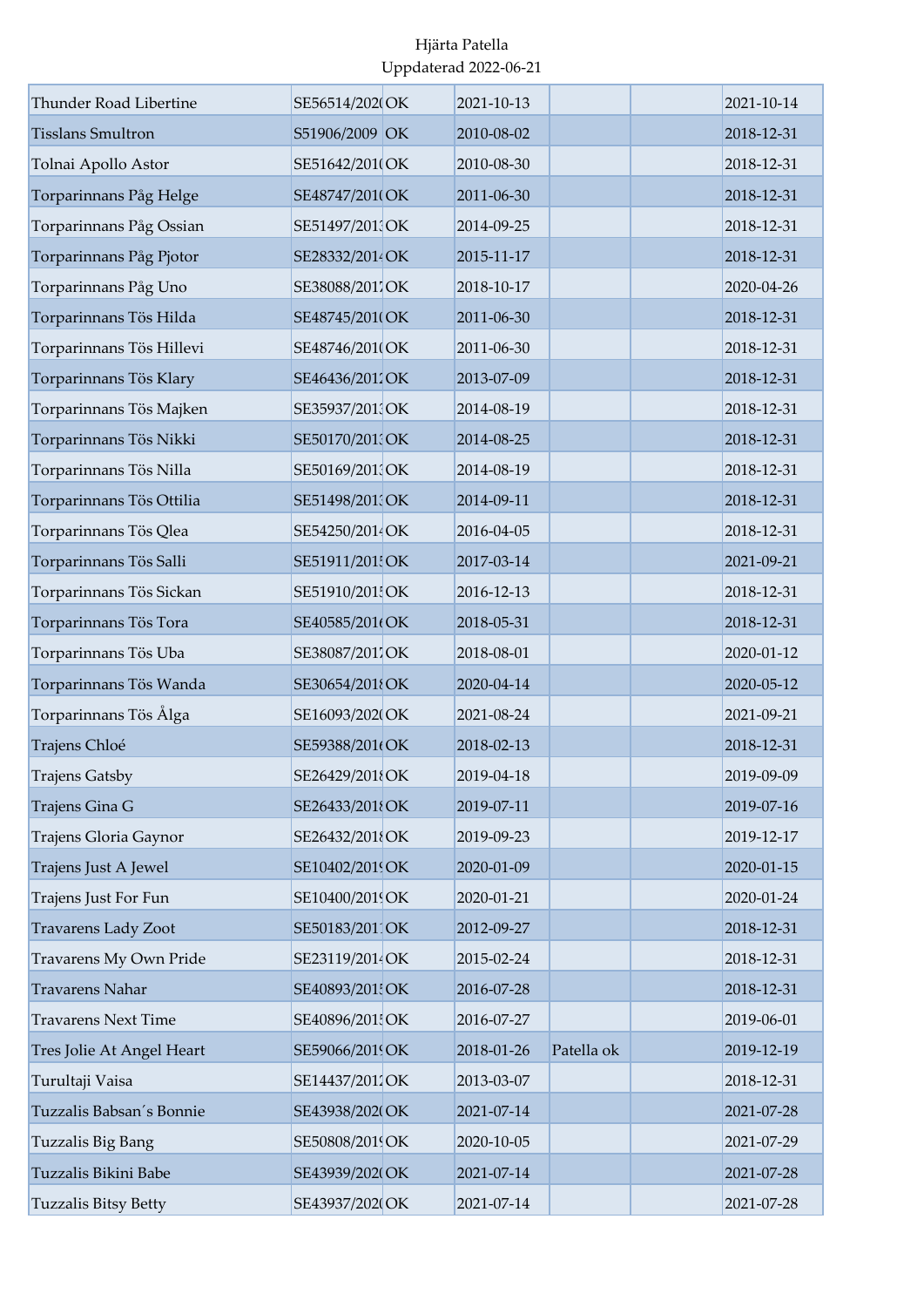| Thunder Road Libertine     | SE56514/2020OK  | 2021-10-13 |            | 2021-10-14 |
|----------------------------|-----------------|------------|------------|------------|
| <b>Tisslans Smultron</b>   | S51906/2009 OK  | 2010-08-02 |            | 2018-12-31 |
| Tolnai Apollo Astor        | SE51642/2010OK  | 2010-08-30 |            | 2018-12-31 |
| Torparinnans Påg Helge     | SE48747/201(OK  | 2011-06-30 |            | 2018-12-31 |
| Torparinnans Påg Ossian    | SE51497/201 OK  | 2014-09-25 |            | 2018-12-31 |
| Torparinnans Påg Pjotor    | SE28332/2014 OK | 2015-11-17 |            | 2018-12-31 |
| Torparinnans Påg Uno       | SE38088/2017OK  | 2018-10-17 |            | 2020-04-26 |
| Torparinnans Tös Hilda     | SE48745/2010 OK | 2011-06-30 |            | 2018-12-31 |
| Torparinnans Tös Hillevi   | SE48746/201(OK  | 2011-06-30 |            | 2018-12-31 |
| Torparinnans Tös Klary     | SE46436/2011OK  | 2013-07-09 |            | 2018-12-31 |
| Torparinnans Tös Majken    | SE35937/2013OK  | 2014-08-19 |            | 2018-12-31 |
| Torparinnans Tös Nikki     | SE50170/201 OK  | 2014-08-25 |            | 2018-12-31 |
| Torparinnans Tös Nilla     | SE50169/201 OK  | 2014-08-19 |            | 2018-12-31 |
| Torparinnans Tös Ottilia   | SE51498/201 OK  | 2014-09-11 |            | 2018-12-31 |
| Torparinnans Tös Qlea      | SE54250/2014 OK | 2016-04-05 |            | 2018-12-31 |
| Torparinnans Tös Salli     | SE51911/201! OK | 2017-03-14 |            | 2021-09-21 |
| Torparinnans Tös Sickan    | SE51910/201 OK  | 2016-12-13 |            | 2018-12-31 |
| Torparinnans Tös Tora      | SE40585/201(OK  | 2018-05-31 |            | 2018-12-31 |
| Torparinnans Tös Uba       | SE38087/2017OK  | 2018-08-01 |            | 2020-01-12 |
| Torparinnans Tös Wanda     | SE30654/2018OK  | 2020-04-14 |            | 2020-05-12 |
| Torparinnans Tös Ålga      | SE16093/202(OK  | 2021-08-24 |            | 2021-09-21 |
| Trajens Chloé              | SE59388/201(OK  | 2018-02-13 |            | 2018-12-31 |
| <b>Trajens Gatsby</b>      | SE26429/2018OK  | 2019-04-18 |            | 2019-09-09 |
| Trajens Gina G             | SE26433/2018OK  | 2019-07-11 |            | 2019-07-16 |
| Trajens Gloria Gaynor      | SE26432/2018OK  | 2019-09-23 |            | 2019-12-17 |
| Trajens Just A Jewel       | SE10402/2019OK  | 2020-01-09 |            | 2020-01-15 |
| Trajens Just For Fun       | SE10400/2019OK  | 2020-01-21 |            | 2020-01-24 |
| <b>Travarens Lady Zoot</b> | SE50183/2011OK  | 2012-09-27 |            | 2018-12-31 |
| Travarens My Own Pride     | SE23119/2014 OK | 2015-02-24 |            | 2018-12-31 |
| Travarens Nahar            | SE40893/201 OK  | 2016-07-28 |            | 2018-12-31 |
| <b>Travarens Next Time</b> | SE40896/201 OK  | 2016-07-27 |            | 2019-06-01 |
| Tres Jolie At Angel Heart  | SE59066/2019OK  | 2018-01-26 | Patella ok | 2019-12-19 |
| Turultaji Vaisa            | SE14437/2012OK  | 2013-03-07 |            | 2018-12-31 |
| Tuzzalis Babsan's Bonnie   | SE43938/202(OK  | 2021-07-14 |            | 2021-07-28 |
| Tuzzalis Big Bang          | SE50808/2019OK  | 2020-10-05 |            | 2021-07-29 |
| Tuzzalis Bikini Babe       | SE43939/202(OK  | 2021-07-14 |            | 2021-07-28 |
| Tuzzalis Bitsy Betty       | SE43937/2020OK  | 2021-07-14 |            | 2021-07-28 |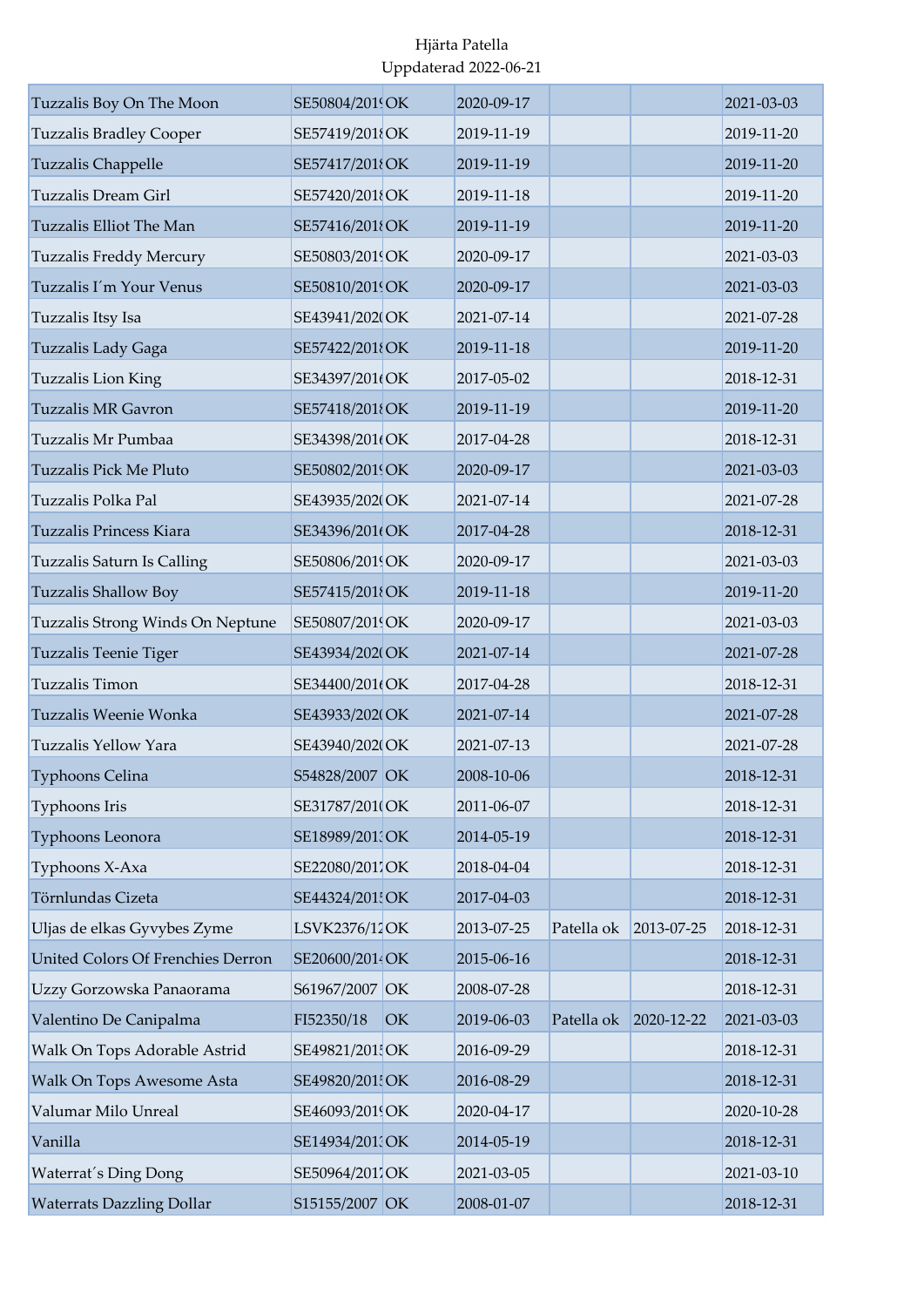| Tuzzalis Boy On The Moon          | SE50804/2019OK  |    | 2020-09-17 |            |            | 2021-03-03 |
|-----------------------------------|-----------------|----|------------|------------|------------|------------|
| <b>Tuzzalis Bradley Cooper</b>    | SE57419/2018OK  |    | 2019-11-19 |            |            | 2019-11-20 |
| <b>Tuzzalis Chappelle</b>         | SE57417/2018OK  |    | 2019-11-19 |            |            | 2019-11-20 |
| <b>Tuzzalis Dream Girl</b>        | SE57420/2018OK  |    | 2019-11-18 |            |            | 2019-11-20 |
| Tuzzalis Elliot The Man           | SE57416/2018OK  |    | 2019-11-19 |            |            | 2019-11-20 |
| Tuzzalis Freddy Mercury           | SE50803/2019OK  |    | 2020-09-17 |            |            | 2021-03-03 |
| Tuzzalis I'm Your Venus           | SE50810/2019OK  |    | 2020-09-17 |            |            | 2021-03-03 |
| Tuzzalis Itsy Isa                 | SE43941/202(OK  |    | 2021-07-14 |            |            | 2021-07-28 |
| Tuzzalis Lady Gaga                | SE57422/2018OK  |    | 2019-11-18 |            |            | 2019-11-20 |
| Tuzzalis Lion King                | SE34397/201(OK  |    | 2017-05-02 |            |            | 2018-12-31 |
| <b>Tuzzalis MR Gavron</b>         | SE57418/2018OK  |    | 2019-11-19 |            |            | 2019-11-20 |
| Tuzzalis Mr Pumbaa                | SE34398/201(OK  |    | 2017-04-28 |            |            | 2018-12-31 |
| Tuzzalis Pick Me Pluto            | SE50802/2019OK  |    | 2020-09-17 |            |            | 2021-03-03 |
| Tuzzalis Polka Pal                | SE43935/202(OK  |    | 2021-07-14 |            |            | 2021-07-28 |
| Tuzzalis Princess Kiara           | SE34396/201(OK  |    | 2017-04-28 |            |            | 2018-12-31 |
| Tuzzalis Saturn Is Calling        | SE50806/2019OK  |    | 2020-09-17 |            |            | 2021-03-03 |
| <b>Tuzzalis Shallow Boy</b>       | SE57415/2018OK  |    | 2019-11-18 |            |            | 2019-11-20 |
| Tuzzalis Strong Winds On Neptune  | SE50807/2019OK  |    | 2020-09-17 |            |            | 2021-03-03 |
| Tuzzalis Teenie Tiger             | SE43934/202(OK  |    | 2021-07-14 |            |            | 2021-07-28 |
| Tuzzalis Timon                    | SE34400/201(OK  |    | 2017-04-28 |            |            | 2018-12-31 |
| Tuzzalis Weenie Wonka             | SE43933/202(OK  |    | 2021-07-14 |            |            | 2021-07-28 |
| Tuzzalis Yellow Yara              | SE43940/2020OK  |    | 2021-07-13 |            |            | 2021-07-28 |
| Typhoons Celina                   | S54828/2007 OK  |    | 2008-10-06 |            |            | 2018-12-31 |
| Typhoons Iris                     | SE31787/201(OK  |    | 2011-06-07 |            |            | 2018-12-31 |
| Typhoons Leonora                  | SE18989/201 OK  |    | 2014-05-19 |            |            | 2018-12-31 |
| Typhoons X-Axa                    | SE22080/2017OK  |    | 2018-04-04 |            |            | 2018-12-31 |
| Törnlundas Cizeta                 | SE44324/201 OK  |    | 2017-04-03 |            |            | 2018-12-31 |
| Uljas de elkas Gyvybes Zyme       | LSVK2376/12OK   |    | 2013-07-25 | Patella ok | 2013-07-25 | 2018-12-31 |
| United Colors Of Frenchies Derron | SE20600/2014 OK |    | 2015-06-16 |            |            | 2018-12-31 |
| Uzzy Gorzowska Panaorama          | S61967/2007 OK  |    | 2008-07-28 |            |            | 2018-12-31 |
| Valentino De Canipalma            | FI52350/18      | OK | 2019-06-03 | Patella ok | 2020-12-22 | 2021-03-03 |
| Walk On Tops Adorable Astrid      | SE49821/201 OK  |    | 2016-09-29 |            |            | 2018-12-31 |
| Walk On Tops Awesome Asta         | SE49820/201 OK  |    | 2016-08-29 |            |            | 2018-12-31 |
| Valumar Milo Unreal               | SE46093/2019OK  |    | 2020-04-17 |            |            | 2020-10-28 |
| Vanilla                           | SE14934/201 OK  |    | 2014-05-19 |            |            | 2018-12-31 |
| Waterrat's Ding Dong              | SE50964/2011OK  |    | 2021-03-05 |            |            | 2021-03-10 |
| <b>Waterrats Dazzling Dollar</b>  | S15155/2007 OK  |    | 2008-01-07 |            |            | 2018-12-31 |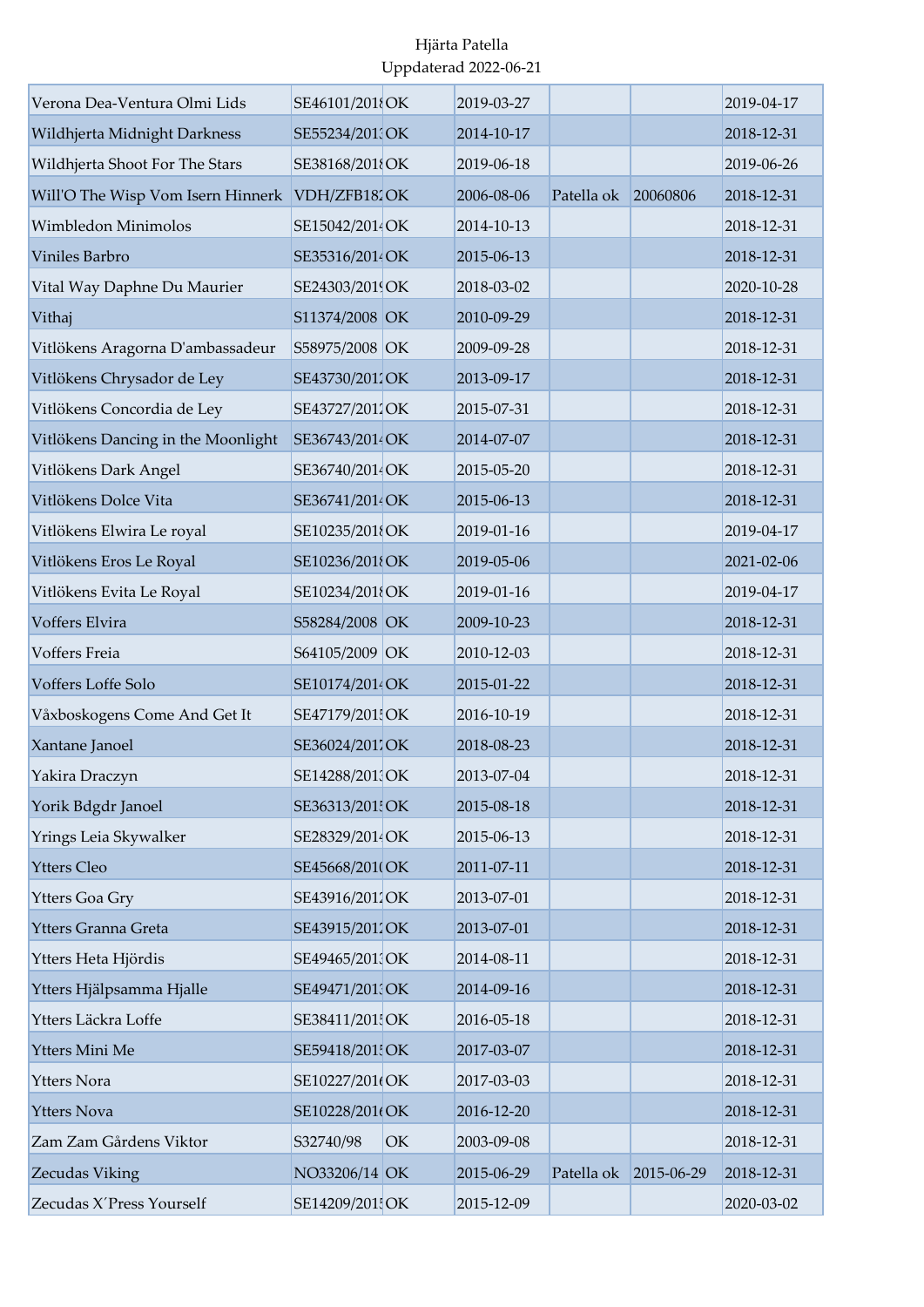| Verona Dea-Ventura Olmi Lids       | SE46101/2018OK  |    | 2019-03-27 |            |            | 2019-04-17 |
|------------------------------------|-----------------|----|------------|------------|------------|------------|
| Wildhjerta Midnight Darkness       | SE55234/2010CK  |    | 2014-10-17 |            |            | 2018-12-31 |
| Wildhjerta Shoot For The Stars     | SE38168/2018OK  |    | 2019-06-18 |            |            | 2019-06-26 |
| Will'O The Wisp Vom Isern Hinnerk  | VDH/ZFB182OK    |    | 2006-08-06 | Patella ok | 20060806   | 2018-12-31 |
| Wimbledon Minimolos                | SE15042/2014OK  |    | 2014-10-13 |            |            | 2018-12-31 |
| Viniles Barbro                     | SE35316/2014 OK |    | 2015-06-13 |            |            | 2018-12-31 |
| Vital Way Daphne Du Maurier        | SE24303/2019OK  |    | 2018-03-02 |            |            | 2020-10-28 |
| Vithaj                             | S11374/2008 OK  |    | 2010-09-29 |            |            | 2018-12-31 |
| Vitlökens Aragorna D'ambassadeur   | S58975/2008 OK  |    | 2009-09-28 |            |            | 2018-12-31 |
| Vitlökens Chrysador de Ley         | SE43730/2011OK  |    | 2013-09-17 |            |            | 2018-12-31 |
| Vitlökens Concordia de Ley         | SE43727/2011OK  |    | 2015-07-31 |            |            | 2018-12-31 |
| Vitlökens Dancing in the Moonlight | SE36743/2014 OK |    | 2014-07-07 |            |            | 2018-12-31 |
| Vitlökens Dark Angel               | SE36740/2014OK  |    | 2015-05-20 |            |            | 2018-12-31 |
| Vitlökens Dolce Vita               | SE36741/2014 OK |    | 2015-06-13 |            |            | 2018-12-31 |
| Vitlökens Elwira Le royal          | SE10235/201{OK  |    | 2019-01-16 |            |            | 2019-04-17 |
| Vitlökens Eros Le Royal            | SE10236/2018OK  |    | 2019-05-06 |            |            | 2021-02-06 |
| Vitlökens Evita Le Royal           | SE10234/201{OK  |    | 2019-01-16 |            |            | 2019-04-17 |
| Voffers Elvira                     | S58284/2008 OK  |    | 2009-10-23 |            |            | 2018-12-31 |
| Voffers Freia                      | S64105/2009 OK  |    | 2010-12-03 |            |            | 2018-12-31 |
| Voffers Loffe Solo                 | SE10174/2014 OK |    | 2015-01-22 |            |            | 2018-12-31 |
| Våxboskogens Come And Get It       | SE47179/201 OK  |    | 2016-10-19 |            |            | 2018-12-31 |
| Xantane Janoel                     | SE36024/2011OK  |    | 2018-08-23 |            |            | 2018-12-31 |
| Yakira Draczyn                     | SE14288/201 OK  |    | 2013-07-04 |            |            | 2018-12-31 |
| Yorik Bdgdr Janoel                 | SE36313/201! OK |    | 2015-08-18 |            |            | 2018-12-31 |
| Yrings Leia Skywalker              | SE28329/2014 OK |    | 2015-06-13 |            |            | 2018-12-31 |
| <b>Ytters Cleo</b>                 | SE45668/201(OK  |    | 2011-07-11 |            |            | 2018-12-31 |
| Ytters Goa Gry                     | SE43916/2012OK  |    | 2013-07-01 |            |            | 2018-12-31 |
| Ytters Granna Greta                | SE43915/2011OK  |    | 2013-07-01 |            |            | 2018-12-31 |
| Ytters Heta Hjördis                | SE49465/2013OK  |    | 2014-08-11 |            |            | 2018-12-31 |
| Ytters Hjälpsamma Hjalle           | SE49471/201 OK  |    | 2014-09-16 |            |            | 2018-12-31 |
| Ytters Läckra Loffe                | SE38411/2015OK  |    | 2016-05-18 |            |            | 2018-12-31 |
| Ytters Mini Me                     | SE59418/201 OK  |    | 2017-03-07 |            |            | 2018-12-31 |
| <b>Ytters Nora</b>                 | SE10227/201(OK  |    | 2017-03-03 |            |            | 2018-12-31 |
| <b>Ytters Nova</b>                 | SE10228/201(OK  |    | 2016-12-20 |            |            | 2018-12-31 |
| Zam Zam Gårdens Viktor             | S32740/98       | OK | 2003-09-08 |            |            | 2018-12-31 |
| Zecudas Viking                     | NO33206/14 OK   |    | 2015-06-29 | Patella ok | 2015-06-29 | 2018-12-31 |
| Zecudas X'Press Yourself           | SE14209/201 OK  |    | 2015-12-09 |            |            | 2020-03-02 |